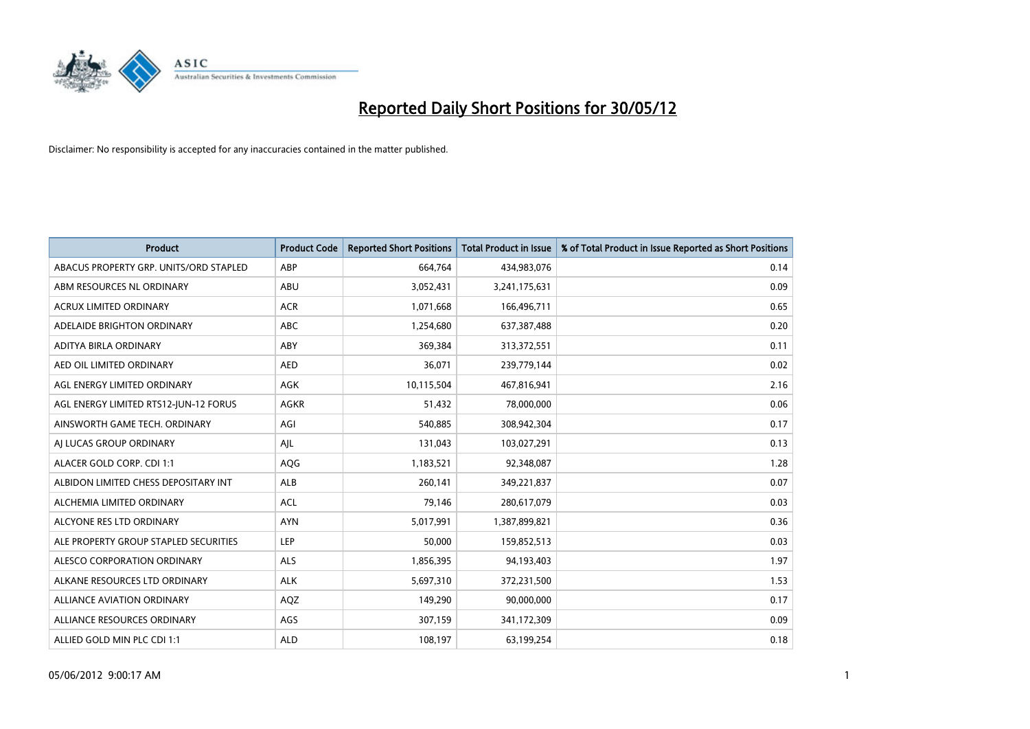

| <b>Product</b>                         | <b>Product Code</b> | <b>Reported Short Positions</b> | <b>Total Product in Issue</b> | % of Total Product in Issue Reported as Short Positions |
|----------------------------------------|---------------------|---------------------------------|-------------------------------|---------------------------------------------------------|
| ABACUS PROPERTY GRP. UNITS/ORD STAPLED | ABP                 | 664,764                         | 434,983,076                   | 0.14                                                    |
| ABM RESOURCES NL ORDINARY              | ABU                 | 3,052,431                       | 3,241,175,631                 | 0.09                                                    |
| <b>ACRUX LIMITED ORDINARY</b>          | <b>ACR</b>          | 1,071,668                       | 166,496,711                   | 0.65                                                    |
| ADELAIDE BRIGHTON ORDINARY             | <b>ABC</b>          | 1,254,680                       | 637,387,488                   | 0.20                                                    |
| ADITYA BIRLA ORDINARY                  | ABY                 | 369,384                         | 313,372,551                   | 0.11                                                    |
| AED OIL LIMITED ORDINARY               | <b>AED</b>          | 36,071                          | 239,779,144                   | 0.02                                                    |
| AGL ENERGY LIMITED ORDINARY            | AGK                 | 10,115,504                      | 467,816,941                   | 2.16                                                    |
| AGL ENERGY LIMITED RTS12-JUN-12 FORUS  | <b>AGKR</b>         | 51,432                          | 78,000,000                    | 0.06                                                    |
| AINSWORTH GAME TECH. ORDINARY          | AGI                 | 540,885                         | 308,942,304                   | 0.17                                                    |
| AI LUCAS GROUP ORDINARY                | AJL                 | 131,043                         | 103,027,291                   | 0.13                                                    |
| ALACER GOLD CORP. CDI 1:1              | AQG                 | 1,183,521                       | 92,348,087                    | 1.28                                                    |
| ALBIDON LIMITED CHESS DEPOSITARY INT   | ALB                 | 260,141                         | 349,221,837                   | 0.07                                                    |
| ALCHEMIA LIMITED ORDINARY              | <b>ACL</b>          | 79,146                          | 280,617,079                   | 0.03                                                    |
| ALCYONE RES LTD ORDINARY               | <b>AYN</b>          | 5,017,991                       | 1,387,899,821                 | 0.36                                                    |
| ALE PROPERTY GROUP STAPLED SECURITIES  | <b>LEP</b>          | 50,000                          | 159,852,513                   | 0.03                                                    |
| ALESCO CORPORATION ORDINARY            | ALS                 | 1,856,395                       | 94,193,403                    | 1.97                                                    |
| ALKANE RESOURCES LTD ORDINARY          | <b>ALK</b>          | 5,697,310                       | 372,231,500                   | 1.53                                                    |
| ALLIANCE AVIATION ORDINARY             | AQZ                 | 149,290                         | 90,000,000                    | 0.17                                                    |
| ALLIANCE RESOURCES ORDINARY            | AGS                 | 307,159                         | 341,172,309                   | 0.09                                                    |
| ALLIED GOLD MIN PLC CDI 1:1            | <b>ALD</b>          | 108,197                         | 63,199,254                    | 0.18                                                    |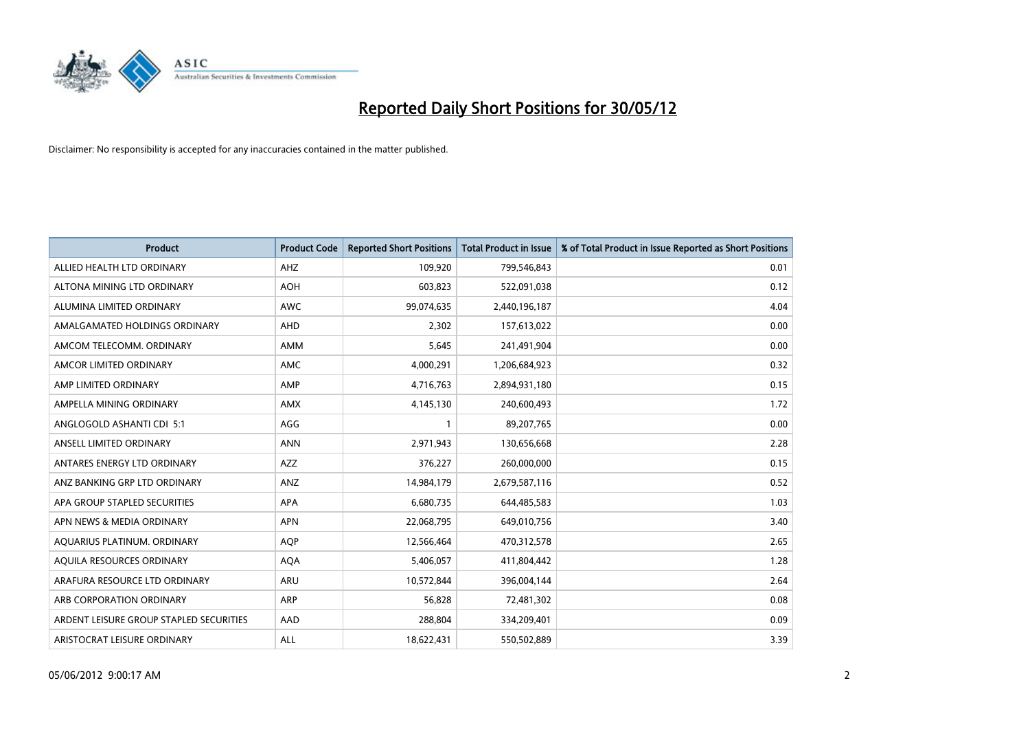

| <b>Product</b>                          | <b>Product Code</b> | <b>Reported Short Positions</b> | <b>Total Product in Issue</b> | % of Total Product in Issue Reported as Short Positions |
|-----------------------------------------|---------------------|---------------------------------|-------------------------------|---------------------------------------------------------|
| ALLIED HEALTH LTD ORDINARY              | AHZ                 | 109,920                         | 799,546,843                   | 0.01                                                    |
| ALTONA MINING LTD ORDINARY              | <b>AOH</b>          | 603,823                         | 522,091,038                   | 0.12                                                    |
| ALUMINA LIMITED ORDINARY                | <b>AWC</b>          | 99,074,635                      | 2,440,196,187                 | 4.04                                                    |
| AMALGAMATED HOLDINGS ORDINARY           | <b>AHD</b>          | 2,302                           | 157,613,022                   | 0.00                                                    |
| AMCOM TELECOMM, ORDINARY                | AMM                 | 5,645                           | 241,491,904                   | 0.00                                                    |
| AMCOR LIMITED ORDINARY                  | <b>AMC</b>          | 4,000,291                       | 1,206,684,923                 | 0.32                                                    |
| AMP LIMITED ORDINARY                    | AMP                 | 4,716,763                       | 2,894,931,180                 | 0.15                                                    |
| AMPELLA MINING ORDINARY                 | AMX                 | 4,145,130                       | 240,600,493                   | 1.72                                                    |
| ANGLOGOLD ASHANTI CDI 5:1               | AGG                 | 1                               | 89,207,765                    | 0.00                                                    |
| ANSELL LIMITED ORDINARY                 | <b>ANN</b>          | 2,971,943                       | 130,656,668                   | 2.28                                                    |
| ANTARES ENERGY LTD ORDINARY             | AZZ                 | 376,227                         | 260,000,000                   | 0.15                                                    |
| ANZ BANKING GRP LTD ORDINARY            | ANZ                 | 14,984,179                      | 2,679,587,116                 | 0.52                                                    |
| APA GROUP STAPLED SECURITIES            | <b>APA</b>          | 6,680,735                       | 644,485,583                   | 1.03                                                    |
| APN NEWS & MEDIA ORDINARY               | <b>APN</b>          | 22,068,795                      | 649,010,756                   | 3.40                                                    |
| AQUARIUS PLATINUM. ORDINARY             | AQP                 | 12,566,464                      | 470,312,578                   | 2.65                                                    |
| AQUILA RESOURCES ORDINARY               | <b>AQA</b>          | 5,406,057                       | 411,804,442                   | 1.28                                                    |
| ARAFURA RESOURCE LTD ORDINARY           | ARU                 | 10,572,844                      | 396,004,144                   | 2.64                                                    |
| ARB CORPORATION ORDINARY                | <b>ARP</b>          | 56,828                          | 72,481,302                    | 0.08                                                    |
| ARDENT LEISURE GROUP STAPLED SECURITIES | AAD                 | 288,804                         | 334,209,401                   | 0.09                                                    |
| ARISTOCRAT LEISURE ORDINARY             | ALL                 | 18,622,431                      | 550,502,889                   | 3.39                                                    |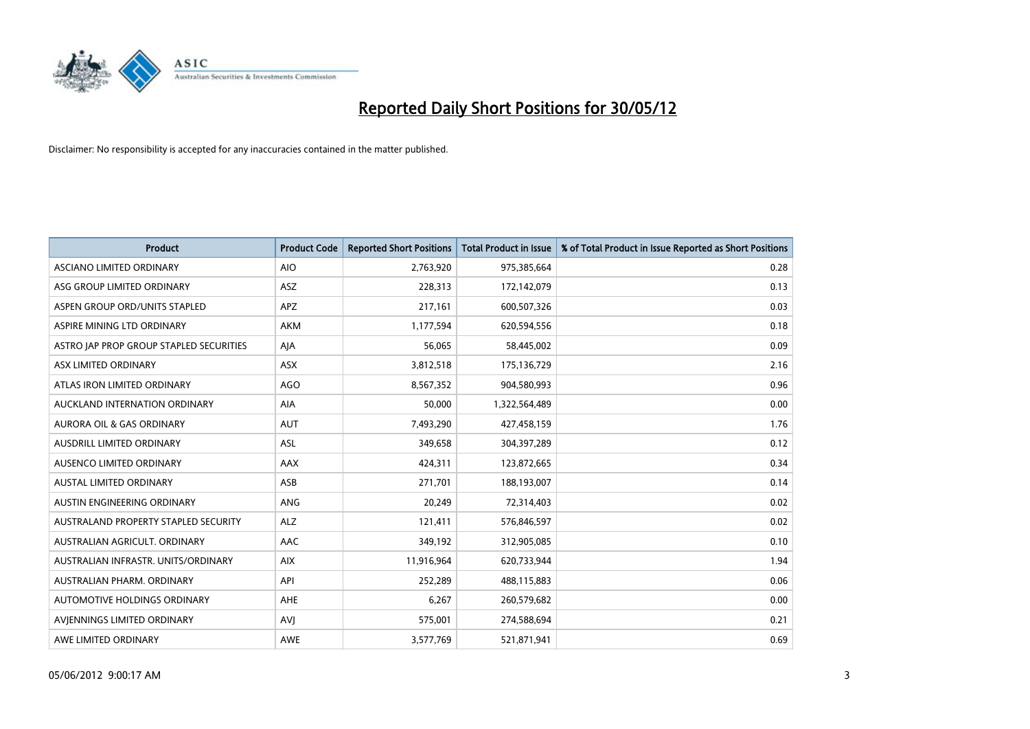

| <b>Product</b>                          | <b>Product Code</b> | <b>Reported Short Positions</b> | <b>Total Product in Issue</b> | % of Total Product in Issue Reported as Short Positions |
|-----------------------------------------|---------------------|---------------------------------|-------------------------------|---------------------------------------------------------|
| ASCIANO LIMITED ORDINARY                | <b>AIO</b>          | 2,763,920                       | 975,385,664                   | 0.28                                                    |
| ASG GROUP LIMITED ORDINARY              | ASZ                 | 228,313                         | 172,142,079                   | 0.13                                                    |
| ASPEN GROUP ORD/UNITS STAPLED           | <b>APZ</b>          | 217,161                         | 600,507,326                   | 0.03                                                    |
| ASPIRE MINING LTD ORDINARY              | <b>AKM</b>          | 1,177,594                       | 620,594,556                   | 0.18                                                    |
| ASTRO JAP PROP GROUP STAPLED SECURITIES | AJA                 | 56,065                          | 58,445,002                    | 0.09                                                    |
| ASX LIMITED ORDINARY                    | ASX                 | 3,812,518                       | 175,136,729                   | 2.16                                                    |
| ATLAS IRON LIMITED ORDINARY             | <b>AGO</b>          | 8,567,352                       | 904,580,993                   | 0.96                                                    |
| AUCKLAND INTERNATION ORDINARY           | <b>AIA</b>          | 50,000                          | 1,322,564,489                 | 0.00                                                    |
| <b>AURORA OIL &amp; GAS ORDINARY</b>    | <b>AUT</b>          | 7,493,290                       | 427,458,159                   | 1.76                                                    |
| AUSDRILL LIMITED ORDINARY               | ASL                 | 349,658                         | 304,397,289                   | 0.12                                                    |
| AUSENCO LIMITED ORDINARY                | AAX                 | 424,311                         | 123,872,665                   | 0.34                                                    |
| <b>AUSTAL LIMITED ORDINARY</b>          | ASB                 | 271,701                         | 188,193,007                   | 0.14                                                    |
| AUSTIN ENGINEERING ORDINARY             | ANG                 | 20,249                          | 72,314,403                    | 0.02                                                    |
| AUSTRALAND PROPERTY STAPLED SECURITY    | <b>ALZ</b>          | 121,411                         | 576,846,597                   | 0.02                                                    |
| AUSTRALIAN AGRICULT. ORDINARY           | AAC                 | 349,192                         | 312,905,085                   | 0.10                                                    |
| AUSTRALIAN INFRASTR, UNITS/ORDINARY     | <b>AIX</b>          | 11,916,964                      | 620,733,944                   | 1.94                                                    |
| AUSTRALIAN PHARM, ORDINARY              | API                 | 252,289                         | 488,115,883                   | 0.06                                                    |
| AUTOMOTIVE HOLDINGS ORDINARY            | AHE                 | 6,267                           | 260,579,682                   | 0.00                                                    |
| AVIENNINGS LIMITED ORDINARY             | <b>AVI</b>          | 575,001                         | 274,588,694                   | 0.21                                                    |
| AWE LIMITED ORDINARY                    | <b>AWE</b>          | 3,577,769                       | 521,871,941                   | 0.69                                                    |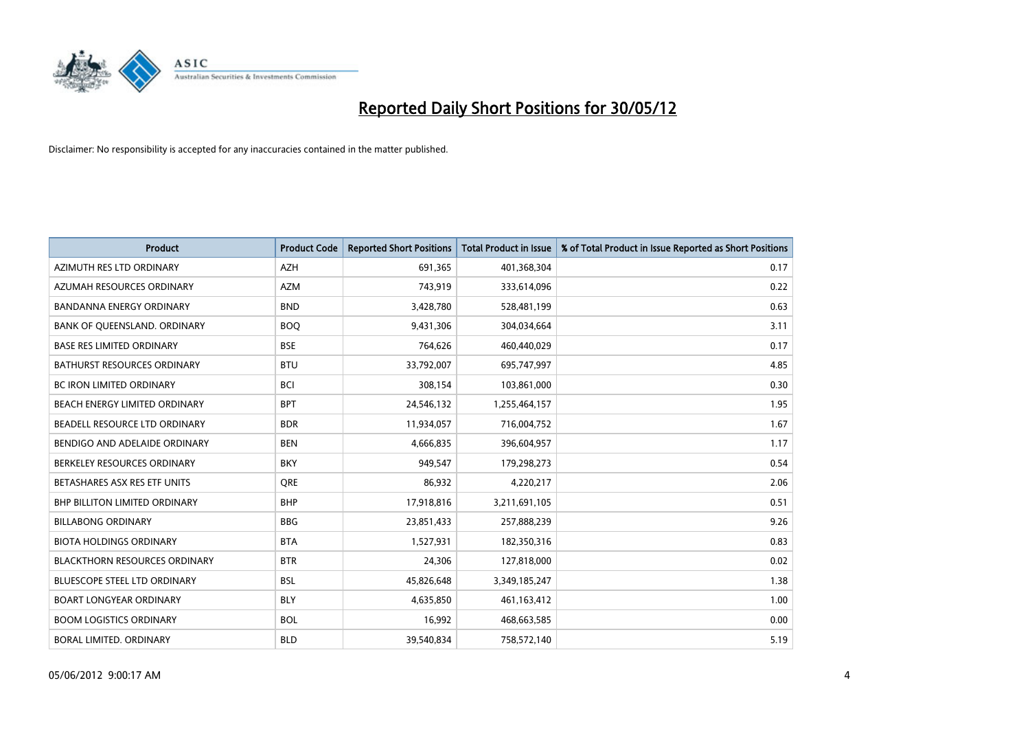

| <b>Product</b>                       | <b>Product Code</b> | <b>Reported Short Positions</b> | <b>Total Product in Issue</b> | % of Total Product in Issue Reported as Short Positions |
|--------------------------------------|---------------------|---------------------------------|-------------------------------|---------------------------------------------------------|
| AZIMUTH RES LTD ORDINARY             | <b>AZH</b>          | 691,365                         | 401,368,304                   | 0.17                                                    |
| AZUMAH RESOURCES ORDINARY            | <b>AZM</b>          | 743,919                         | 333,614,096                   | 0.22                                                    |
| <b>BANDANNA ENERGY ORDINARY</b>      | <b>BND</b>          | 3,428,780                       | 528,481,199                   | 0.63                                                    |
| BANK OF QUEENSLAND. ORDINARY         | <b>BOQ</b>          | 9,431,306                       | 304,034,664                   | 3.11                                                    |
| <b>BASE RES LIMITED ORDINARY</b>     | <b>BSE</b>          | 764,626                         | 460,440,029                   | 0.17                                                    |
| <b>BATHURST RESOURCES ORDINARY</b>   | <b>BTU</b>          | 33,792,007                      | 695,747,997                   | 4.85                                                    |
| <b>BC IRON LIMITED ORDINARY</b>      | <b>BCI</b>          | 308,154                         | 103,861,000                   | 0.30                                                    |
| BEACH ENERGY LIMITED ORDINARY        | <b>BPT</b>          | 24,546,132                      | 1,255,464,157                 | 1.95                                                    |
| BEADELL RESOURCE LTD ORDINARY        | <b>BDR</b>          | 11,934,057                      | 716,004,752                   | 1.67                                                    |
| BENDIGO AND ADELAIDE ORDINARY        | <b>BEN</b>          | 4,666,835                       | 396,604,957                   | 1.17                                                    |
| BERKELEY RESOURCES ORDINARY          | <b>BKY</b>          | 949,547                         | 179,298,273                   | 0.54                                                    |
| BETASHARES ASX RES ETF UNITS         | <b>ORE</b>          | 86,932                          | 4,220,217                     | 2.06                                                    |
| BHP BILLITON LIMITED ORDINARY        | <b>BHP</b>          | 17,918,816                      | 3,211,691,105                 | 0.51                                                    |
| <b>BILLABONG ORDINARY</b>            | <b>BBG</b>          | 23,851,433                      | 257,888,239                   | 9.26                                                    |
| <b>BIOTA HOLDINGS ORDINARY</b>       | <b>BTA</b>          | 1,527,931                       | 182,350,316                   | 0.83                                                    |
| <b>BLACKTHORN RESOURCES ORDINARY</b> | <b>BTR</b>          | 24,306                          | 127,818,000                   | 0.02                                                    |
| BLUESCOPE STEEL LTD ORDINARY         | <b>BSL</b>          | 45,826,648                      | 3,349,185,247                 | 1.38                                                    |
| <b>BOART LONGYEAR ORDINARY</b>       | <b>BLY</b>          | 4,635,850                       | 461,163,412                   | 1.00                                                    |
| <b>BOOM LOGISTICS ORDINARY</b>       | <b>BOL</b>          | 16,992                          | 468,663,585                   | 0.00                                                    |
| BORAL LIMITED. ORDINARY              | <b>BLD</b>          | 39,540,834                      | 758,572,140                   | 5.19                                                    |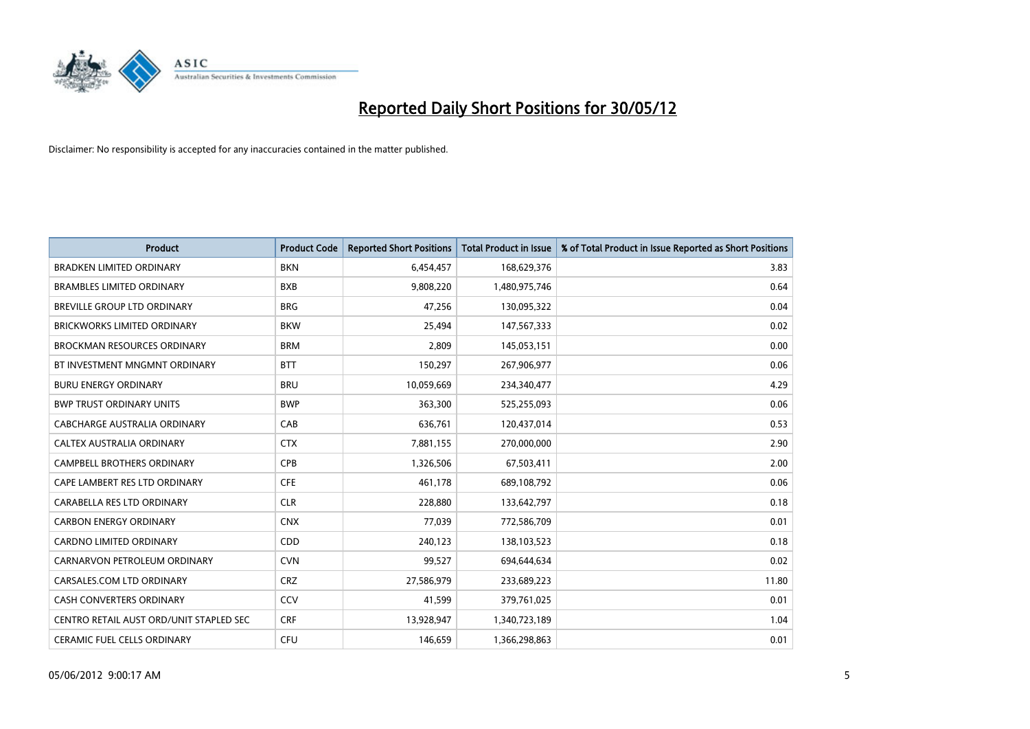

| <b>Product</b>                          | <b>Product Code</b> | <b>Reported Short Positions</b> | <b>Total Product in Issue</b> | % of Total Product in Issue Reported as Short Positions |
|-----------------------------------------|---------------------|---------------------------------|-------------------------------|---------------------------------------------------------|
| <b>BRADKEN LIMITED ORDINARY</b>         | <b>BKN</b>          | 6,454,457                       | 168,629,376                   | 3.83                                                    |
| <b>BRAMBLES LIMITED ORDINARY</b>        | <b>BXB</b>          | 9,808,220                       | 1,480,975,746                 | 0.64                                                    |
| <b>BREVILLE GROUP LTD ORDINARY</b>      | <b>BRG</b>          | 47,256                          | 130,095,322                   | 0.04                                                    |
| <b>BRICKWORKS LIMITED ORDINARY</b>      | <b>BKW</b>          | 25,494                          | 147,567,333                   | 0.02                                                    |
| <b>BROCKMAN RESOURCES ORDINARY</b>      | <b>BRM</b>          | 2,809                           | 145,053,151                   | 0.00                                                    |
| BT INVESTMENT MNGMNT ORDINARY           | <b>BTT</b>          | 150,297                         | 267,906,977                   | 0.06                                                    |
| <b>BURU ENERGY ORDINARY</b>             | <b>BRU</b>          | 10,059,669                      | 234,340,477                   | 4.29                                                    |
| <b>BWP TRUST ORDINARY UNITS</b>         | <b>BWP</b>          | 363,300                         | 525,255,093                   | 0.06                                                    |
| <b>CABCHARGE AUSTRALIA ORDINARY</b>     | CAB                 | 636,761                         | 120,437,014                   | 0.53                                                    |
| CALTEX AUSTRALIA ORDINARY               | <b>CTX</b>          | 7,881,155                       | 270,000,000                   | 2.90                                                    |
| CAMPBELL BROTHERS ORDINARY              | <b>CPB</b>          | 1,326,506                       | 67,503,411                    | 2.00                                                    |
| CAPE LAMBERT RES LTD ORDINARY           | <b>CFE</b>          | 461,178                         | 689,108,792                   | 0.06                                                    |
| CARABELLA RES LTD ORDINARY              | <b>CLR</b>          | 228,880                         | 133,642,797                   | 0.18                                                    |
| <b>CARBON ENERGY ORDINARY</b>           | <b>CNX</b>          | 77,039                          | 772,586,709                   | 0.01                                                    |
| <b>CARDNO LIMITED ORDINARY</b>          | CDD                 | 240,123                         | 138,103,523                   | 0.18                                                    |
| CARNARVON PETROLEUM ORDINARY            | <b>CVN</b>          | 99,527                          | 694,644,634                   | 0.02                                                    |
| CARSALES.COM LTD ORDINARY               | <b>CRZ</b>          | 27,586,979                      | 233,689,223                   | 11.80                                                   |
| CASH CONVERTERS ORDINARY                | CCV                 | 41,599                          | 379,761,025                   | 0.01                                                    |
| CENTRO RETAIL AUST ORD/UNIT STAPLED SEC | <b>CRF</b>          | 13,928,947                      | 1,340,723,189                 | 1.04                                                    |
| CERAMIC FUEL CELLS ORDINARY             | <b>CFU</b>          | 146,659                         | 1,366,298,863                 | 0.01                                                    |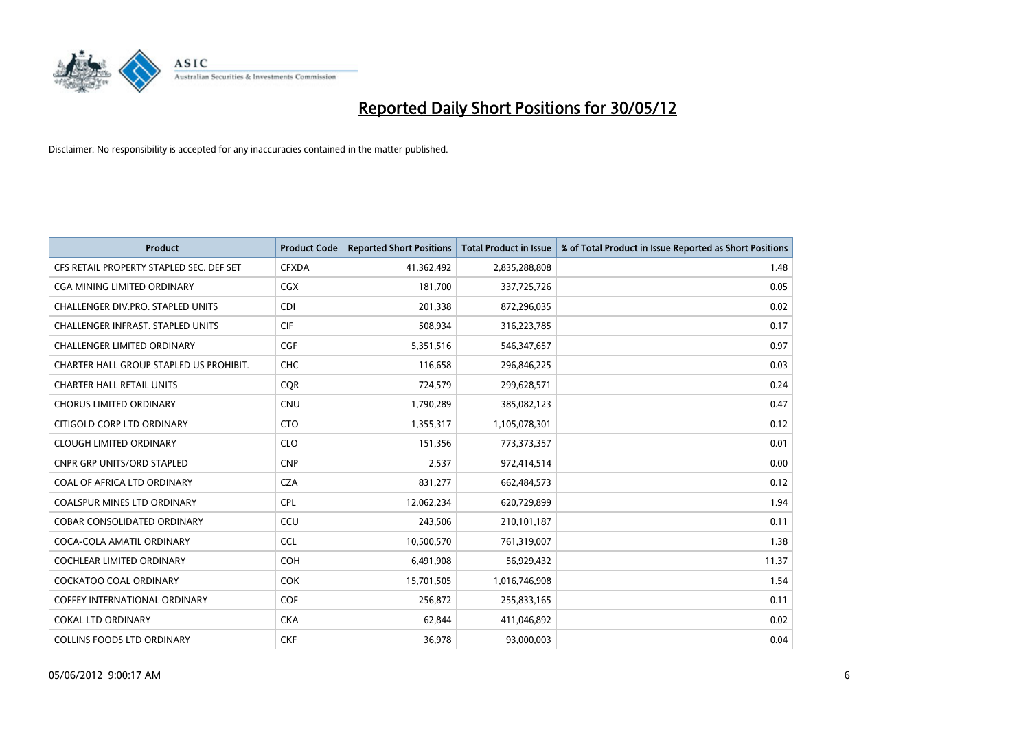

| <b>Product</b>                           | <b>Product Code</b> | <b>Reported Short Positions</b> | <b>Total Product in Issue</b> | % of Total Product in Issue Reported as Short Positions |
|------------------------------------------|---------------------|---------------------------------|-------------------------------|---------------------------------------------------------|
| CFS RETAIL PROPERTY STAPLED SEC. DEF SET | <b>CFXDA</b>        | 41,362,492                      | 2,835,288,808                 | 1.48                                                    |
| CGA MINING LIMITED ORDINARY              | <b>CGX</b>          | 181,700                         | 337,725,726                   | 0.05                                                    |
| CHALLENGER DIV.PRO. STAPLED UNITS        | <b>CDI</b>          | 201,338                         | 872,296,035                   | 0.02                                                    |
| CHALLENGER INFRAST. STAPLED UNITS        | <b>CIF</b>          | 508,934                         | 316,223,785                   | 0.17                                                    |
| <b>CHALLENGER LIMITED ORDINARY</b>       | <b>CGF</b>          | 5,351,516                       | 546, 347, 657                 | 0.97                                                    |
| CHARTER HALL GROUP STAPLED US PROHIBIT.  | <b>CHC</b>          | 116,658                         | 296,846,225                   | 0.03                                                    |
| <b>CHARTER HALL RETAIL UNITS</b>         | <b>COR</b>          | 724,579                         | 299,628,571                   | 0.24                                                    |
| <b>CHORUS LIMITED ORDINARY</b>           | <b>CNU</b>          | 1,790,289                       | 385,082,123                   | 0.47                                                    |
| CITIGOLD CORP LTD ORDINARY               | <b>CTO</b>          | 1,355,317                       | 1,105,078,301                 | 0.12                                                    |
| <b>CLOUGH LIMITED ORDINARY</b>           | <b>CLO</b>          | 151,356                         | 773,373,357                   | 0.01                                                    |
| CNPR GRP UNITS/ORD STAPLED               | <b>CNP</b>          | 2,537                           | 972,414,514                   | 0.00                                                    |
| COAL OF AFRICA LTD ORDINARY              | <b>CZA</b>          | 831,277                         | 662,484,573                   | 0.12                                                    |
| COALSPUR MINES LTD ORDINARY              | <b>CPL</b>          | 12,062,234                      | 620,729,899                   | 1.94                                                    |
| <b>COBAR CONSOLIDATED ORDINARY</b>       | CCU                 | 243,506                         | 210,101,187                   | 0.11                                                    |
| COCA-COLA AMATIL ORDINARY                | <b>CCL</b>          | 10,500,570                      | 761,319,007                   | 1.38                                                    |
| COCHLEAR LIMITED ORDINARY                | <b>COH</b>          | 6,491,908                       | 56,929,432                    | 11.37                                                   |
| <b>COCKATOO COAL ORDINARY</b>            | <b>COK</b>          | 15,701,505                      | 1,016,746,908                 | 1.54                                                    |
| <b>COFFEY INTERNATIONAL ORDINARY</b>     | <b>COF</b>          | 256,872                         | 255,833,165                   | 0.11                                                    |
| <b>COKAL LTD ORDINARY</b>                | <b>CKA</b>          | 62,844                          | 411,046,892                   | 0.02                                                    |
| <b>COLLINS FOODS LTD ORDINARY</b>        | <b>CKF</b>          | 36,978                          | 93,000,003                    | 0.04                                                    |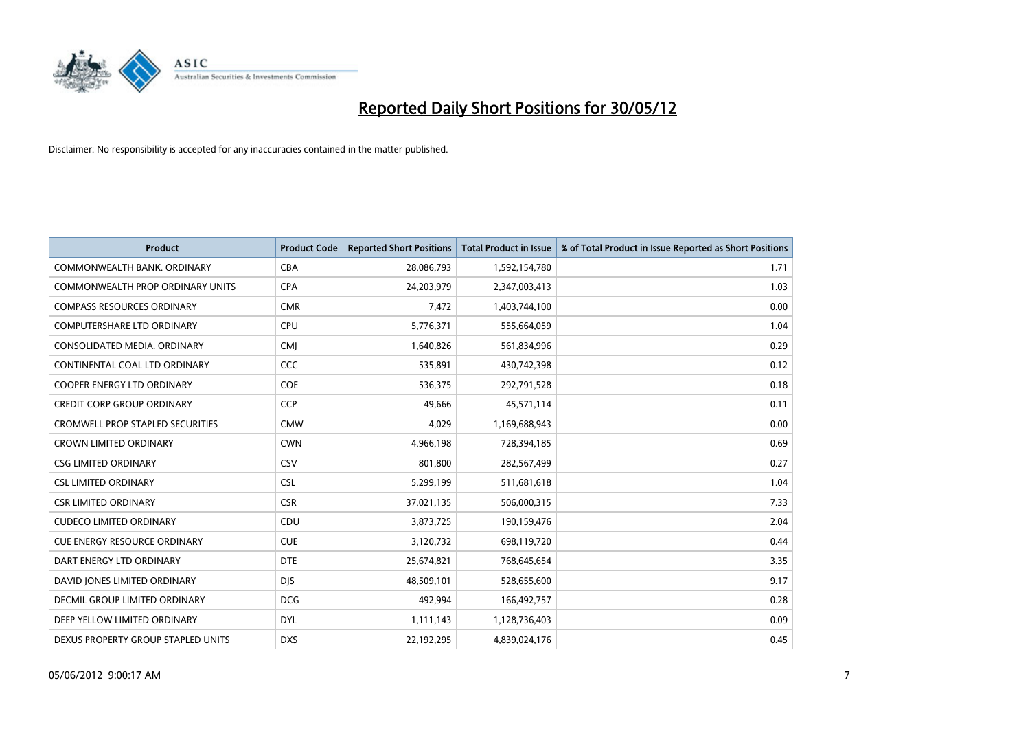

| <b>Product</b>                       | <b>Product Code</b> | <b>Reported Short Positions</b> | <b>Total Product in Issue</b> | % of Total Product in Issue Reported as Short Positions |
|--------------------------------------|---------------------|---------------------------------|-------------------------------|---------------------------------------------------------|
| COMMONWEALTH BANK, ORDINARY          | <b>CBA</b>          | 28,086,793                      | 1,592,154,780                 | 1.71                                                    |
| COMMONWEALTH PROP ORDINARY UNITS     | <b>CPA</b>          | 24,203,979                      | 2,347,003,413                 | 1.03                                                    |
| <b>COMPASS RESOURCES ORDINARY</b>    | <b>CMR</b>          | 7,472                           | 1,403,744,100                 | 0.00                                                    |
| <b>COMPUTERSHARE LTD ORDINARY</b>    | <b>CPU</b>          | 5,776,371                       | 555,664,059                   | 1.04                                                    |
| CONSOLIDATED MEDIA, ORDINARY         | <b>CMI</b>          | 1,640,826                       | 561,834,996                   | 0.29                                                    |
| CONTINENTAL COAL LTD ORDINARY        | CCC                 | 535,891                         | 430,742,398                   | 0.12                                                    |
| <b>COOPER ENERGY LTD ORDINARY</b>    | <b>COE</b>          | 536,375                         | 292,791,528                   | 0.18                                                    |
| <b>CREDIT CORP GROUP ORDINARY</b>    | <b>CCP</b>          | 49,666                          | 45,571,114                    | 0.11                                                    |
| CROMWELL PROP STAPLED SECURITIES     | <b>CMW</b>          | 4,029                           | 1,169,688,943                 | 0.00                                                    |
| <b>CROWN LIMITED ORDINARY</b>        | <b>CWN</b>          | 4,966,198                       | 728,394,185                   | 0.69                                                    |
| <b>CSG LIMITED ORDINARY</b>          | CSV                 | 801,800                         | 282,567,499                   | 0.27                                                    |
| <b>CSL LIMITED ORDINARY</b>          | <b>CSL</b>          | 5,299,199                       | 511,681,618                   | 1.04                                                    |
| <b>CSR LIMITED ORDINARY</b>          | <b>CSR</b>          | 37,021,135                      | 506,000,315                   | 7.33                                                    |
| <b>CUDECO LIMITED ORDINARY</b>       | CDU                 | 3,873,725                       | 190,159,476                   | 2.04                                                    |
| <b>CUE ENERGY RESOURCE ORDINARY</b>  | <b>CUE</b>          | 3,120,732                       | 698,119,720                   | 0.44                                                    |
| DART ENERGY LTD ORDINARY             | <b>DTE</b>          | 25,674,821                      | 768,645,654                   | 3.35                                                    |
| DAVID JONES LIMITED ORDINARY         | <b>DJS</b>          | 48,509,101                      | 528,655,600                   | 9.17                                                    |
| <b>DECMIL GROUP LIMITED ORDINARY</b> | <b>DCG</b>          | 492,994                         | 166,492,757                   | 0.28                                                    |
| DEEP YELLOW LIMITED ORDINARY         | <b>DYL</b>          | 1,111,143                       | 1,128,736,403                 | 0.09                                                    |
| DEXUS PROPERTY GROUP STAPLED UNITS   | <b>DXS</b>          | 22,192,295                      | 4,839,024,176                 | 0.45                                                    |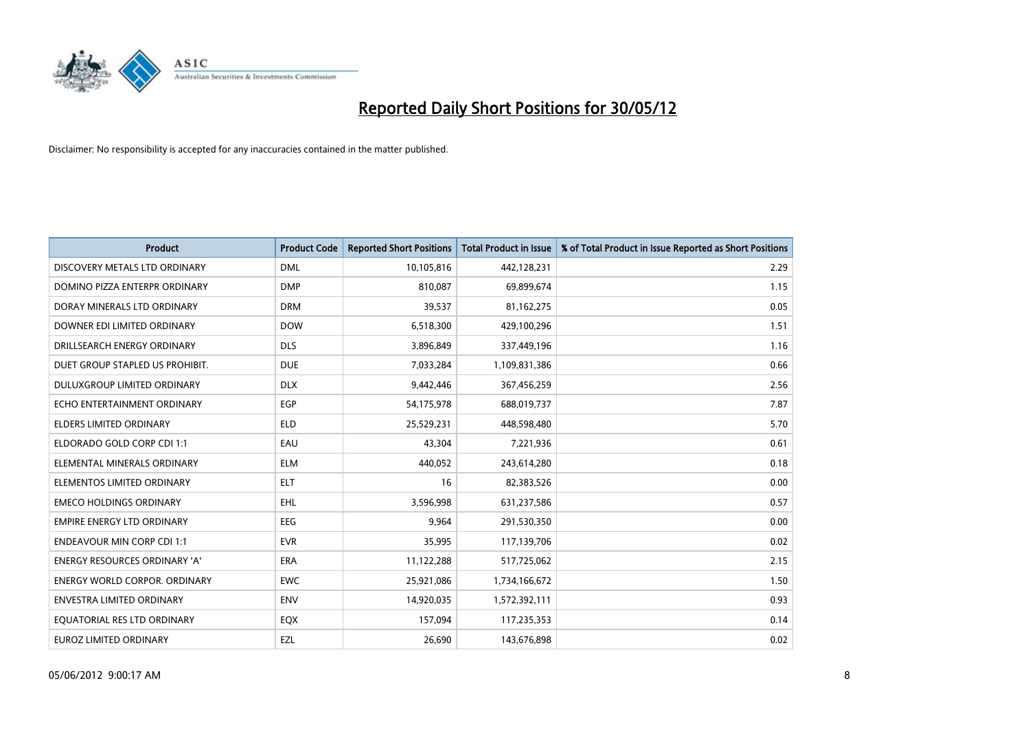

| <b>Product</b>                       | <b>Product Code</b> | <b>Reported Short Positions</b> | <b>Total Product in Issue</b> | % of Total Product in Issue Reported as Short Positions |
|--------------------------------------|---------------------|---------------------------------|-------------------------------|---------------------------------------------------------|
| DISCOVERY METALS LTD ORDINARY        | <b>DML</b>          | 10,105,816                      | 442,128,231                   | 2.29                                                    |
| DOMINO PIZZA ENTERPR ORDINARY        | <b>DMP</b>          | 810,087                         | 69,899,674                    | 1.15                                                    |
| DORAY MINERALS LTD ORDINARY          | <b>DRM</b>          | 39,537                          | 81,162,275                    | 0.05                                                    |
| DOWNER EDI LIMITED ORDINARY          | <b>DOW</b>          | 6,518,300                       | 429,100,296                   | 1.51                                                    |
| DRILLSEARCH ENERGY ORDINARY          | <b>DLS</b>          | 3,896,849                       | 337,449,196                   | 1.16                                                    |
| DUET GROUP STAPLED US PROHIBIT.      | <b>DUE</b>          | 7,033,284                       | 1,109,831,386                 | 0.66                                                    |
| DULUXGROUP LIMITED ORDINARY          | <b>DLX</b>          | 9,442,446                       | 367,456,259                   | 2.56                                                    |
| ECHO ENTERTAINMENT ORDINARY          | <b>EGP</b>          | 54,175,978                      | 688,019,737                   | 7.87                                                    |
| ELDERS LIMITED ORDINARY              | <b>ELD</b>          | 25,529,231                      | 448,598,480                   | 5.70                                                    |
| ELDORADO GOLD CORP CDI 1:1           | EAU                 | 43,304                          | 7,221,936                     | 0.61                                                    |
| ELEMENTAL MINERALS ORDINARY          | <b>ELM</b>          | 440,052                         | 243,614,280                   | 0.18                                                    |
| ELEMENTOS LIMITED ORDINARY           | <b>ELT</b>          | 16                              | 82,383,526                    | 0.00                                                    |
| <b>EMECO HOLDINGS ORDINARY</b>       | <b>EHL</b>          | 3,596,998                       | 631,237,586                   | 0.57                                                    |
| <b>EMPIRE ENERGY LTD ORDINARY</b>    | <b>EEG</b>          | 9,964                           | 291,530,350                   | 0.00                                                    |
| <b>ENDEAVOUR MIN CORP CDI 1:1</b>    | <b>EVR</b>          | 35,995                          | 117,139,706                   | 0.02                                                    |
| <b>ENERGY RESOURCES ORDINARY 'A'</b> | <b>ERA</b>          | 11,122,288                      | 517,725,062                   | 2.15                                                    |
| <b>ENERGY WORLD CORPOR, ORDINARY</b> | <b>EWC</b>          | 25,921,086                      | 1,734,166,672                 | 1.50                                                    |
| <b>ENVESTRA LIMITED ORDINARY</b>     | <b>ENV</b>          | 14,920,035                      | 1,572,392,111                 | 0.93                                                    |
| EQUATORIAL RES LTD ORDINARY          | EQX                 | 157,094                         | 117,235,353                   | 0.14                                                    |
| <b>EUROZ LIMITED ORDINARY</b>        | EZL                 | 26,690                          | 143,676,898                   | 0.02                                                    |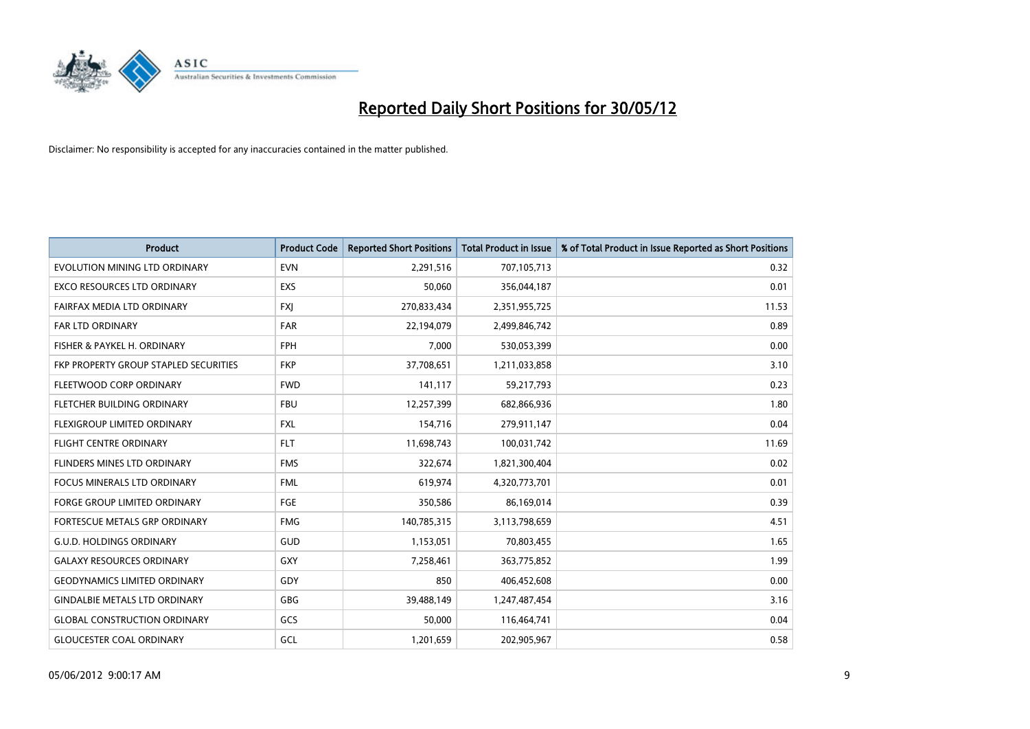

| <b>Product</b>                        | <b>Product Code</b> | <b>Reported Short Positions</b> | <b>Total Product in Issue</b> | % of Total Product in Issue Reported as Short Positions |
|---------------------------------------|---------------------|---------------------------------|-------------------------------|---------------------------------------------------------|
| EVOLUTION MINING LTD ORDINARY         | <b>EVN</b>          | 2,291,516                       | 707,105,713                   | 0.32                                                    |
| EXCO RESOURCES LTD ORDINARY           | <b>EXS</b>          | 50,060                          | 356,044,187                   | 0.01                                                    |
| FAIRFAX MEDIA LTD ORDINARY            | <b>FXI</b>          | 270,833,434                     | 2,351,955,725                 | 11.53                                                   |
| <b>FAR LTD ORDINARY</b>               | <b>FAR</b>          | 22,194,079                      | 2,499,846,742                 | 0.89                                                    |
| FISHER & PAYKEL H. ORDINARY           | <b>FPH</b>          | 7,000                           | 530,053,399                   | 0.00                                                    |
| FKP PROPERTY GROUP STAPLED SECURITIES | <b>FKP</b>          | 37,708,651                      | 1,211,033,858                 | 3.10                                                    |
| FLEETWOOD CORP ORDINARY               | <b>FWD</b>          | 141,117                         | 59,217,793                    | 0.23                                                    |
| FLETCHER BUILDING ORDINARY            | <b>FBU</b>          | 12,257,399                      | 682,866,936                   | 1.80                                                    |
| FLEXIGROUP LIMITED ORDINARY           | <b>FXL</b>          | 154,716                         | 279,911,147                   | 0.04                                                    |
| <b>FLIGHT CENTRE ORDINARY</b>         | <b>FLT</b>          | 11,698,743                      | 100,031,742                   | 11.69                                                   |
| FLINDERS MINES LTD ORDINARY           | <b>FMS</b>          | 322,674                         | 1,821,300,404                 | 0.02                                                    |
| <b>FOCUS MINERALS LTD ORDINARY</b>    | <b>FML</b>          | 619,974                         | 4,320,773,701                 | 0.01                                                    |
| FORGE GROUP LIMITED ORDINARY          | FGE                 | 350,586                         | 86,169,014                    | 0.39                                                    |
| FORTESCUE METALS GRP ORDINARY         | <b>FMG</b>          | 140,785,315                     | 3,113,798,659                 | 4.51                                                    |
| <b>G.U.D. HOLDINGS ORDINARY</b>       | GUD                 | 1,153,051                       | 70,803,455                    | 1.65                                                    |
| <b>GALAXY RESOURCES ORDINARY</b>      | GXY                 | 7,258,461                       | 363,775,852                   | 1.99                                                    |
| <b>GEODYNAMICS LIMITED ORDINARY</b>   | GDY                 | 850                             | 406,452,608                   | 0.00                                                    |
| <b>GINDALBIE METALS LTD ORDINARY</b>  | GBG                 | 39,488,149                      | 1,247,487,454                 | 3.16                                                    |
| <b>GLOBAL CONSTRUCTION ORDINARY</b>   | GCS                 | 50,000                          | 116,464,741                   | 0.04                                                    |
| <b>GLOUCESTER COAL ORDINARY</b>       | GCL                 | 1,201,659                       | 202,905,967                   | 0.58                                                    |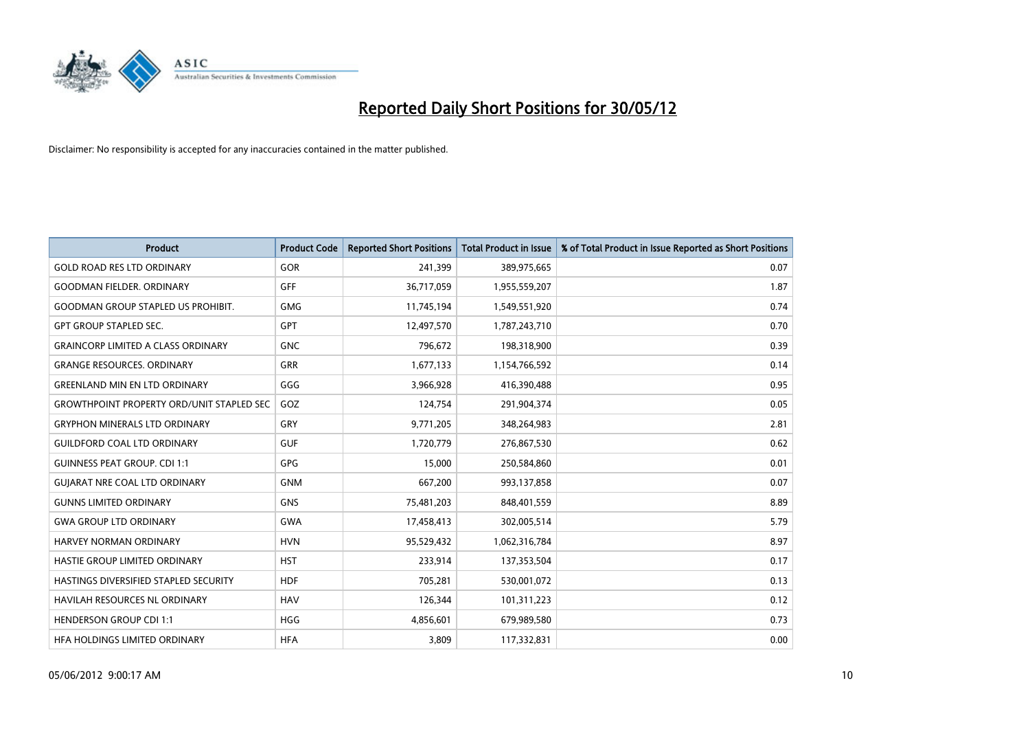

| <b>Product</b>                                   | <b>Product Code</b> | <b>Reported Short Positions</b> | <b>Total Product in Issue</b> | % of Total Product in Issue Reported as Short Positions |
|--------------------------------------------------|---------------------|---------------------------------|-------------------------------|---------------------------------------------------------|
| <b>GOLD ROAD RES LTD ORDINARY</b>                | <b>GOR</b>          | 241,399                         | 389,975,665                   | 0.07                                                    |
| <b>GOODMAN FIELDER, ORDINARY</b>                 | GFF                 | 36,717,059                      | 1,955,559,207                 | 1.87                                                    |
| <b>GOODMAN GROUP STAPLED US PROHIBIT.</b>        | <b>GMG</b>          | 11,745,194                      | 1,549,551,920                 | 0.74                                                    |
| <b>GPT GROUP STAPLED SEC.</b>                    | GPT                 | 12,497,570                      | 1,787,243,710                 | 0.70                                                    |
| <b>GRAINCORP LIMITED A CLASS ORDINARY</b>        | <b>GNC</b>          | 796,672                         | 198,318,900                   | 0.39                                                    |
| <b>GRANGE RESOURCES, ORDINARY</b>                | <b>GRR</b>          | 1,677,133                       | 1,154,766,592                 | 0.14                                                    |
| <b>GREENLAND MIN EN LTD ORDINARY</b>             | GGG                 | 3,966,928                       | 416,390,488                   | 0.95                                                    |
| <b>GROWTHPOINT PROPERTY ORD/UNIT STAPLED SEC</b> | GOZ                 | 124,754                         | 291,904,374                   | 0.05                                                    |
| <b>GRYPHON MINERALS LTD ORDINARY</b>             | GRY                 | 9,771,205                       | 348,264,983                   | 2.81                                                    |
| <b>GUILDFORD COAL LTD ORDINARY</b>               | <b>GUF</b>          | 1,720,779                       | 276,867,530                   | 0.62                                                    |
| <b>GUINNESS PEAT GROUP. CDI 1:1</b>              | <b>GPG</b>          | 15,000                          | 250,584,860                   | 0.01                                                    |
| <b>GUIARAT NRE COAL LTD ORDINARY</b>             | <b>GNM</b>          | 667,200                         | 993,137,858                   | 0.07                                                    |
| <b>GUNNS LIMITED ORDINARY</b>                    | <b>GNS</b>          | 75,481,203                      | 848,401,559                   | 8.89                                                    |
| <b>GWA GROUP LTD ORDINARY</b>                    | GWA                 | 17,458,413                      | 302,005,514                   | 5.79                                                    |
| HARVEY NORMAN ORDINARY                           | <b>HVN</b>          | 95,529,432                      | 1,062,316,784                 | 8.97                                                    |
| HASTIE GROUP LIMITED ORDINARY                    | <b>HST</b>          | 233,914                         | 137,353,504                   | 0.17                                                    |
| HASTINGS DIVERSIFIED STAPLED SECURITY            | <b>HDF</b>          | 705,281                         | 530,001,072                   | 0.13                                                    |
| HAVILAH RESOURCES NL ORDINARY                    | <b>HAV</b>          | 126,344                         | 101,311,223                   | 0.12                                                    |
| <b>HENDERSON GROUP CDI 1:1</b>                   | <b>HGG</b>          | 4,856,601                       | 679,989,580                   | 0.73                                                    |
| HFA HOLDINGS LIMITED ORDINARY                    | <b>HFA</b>          | 3,809                           | 117,332,831                   | 0.00                                                    |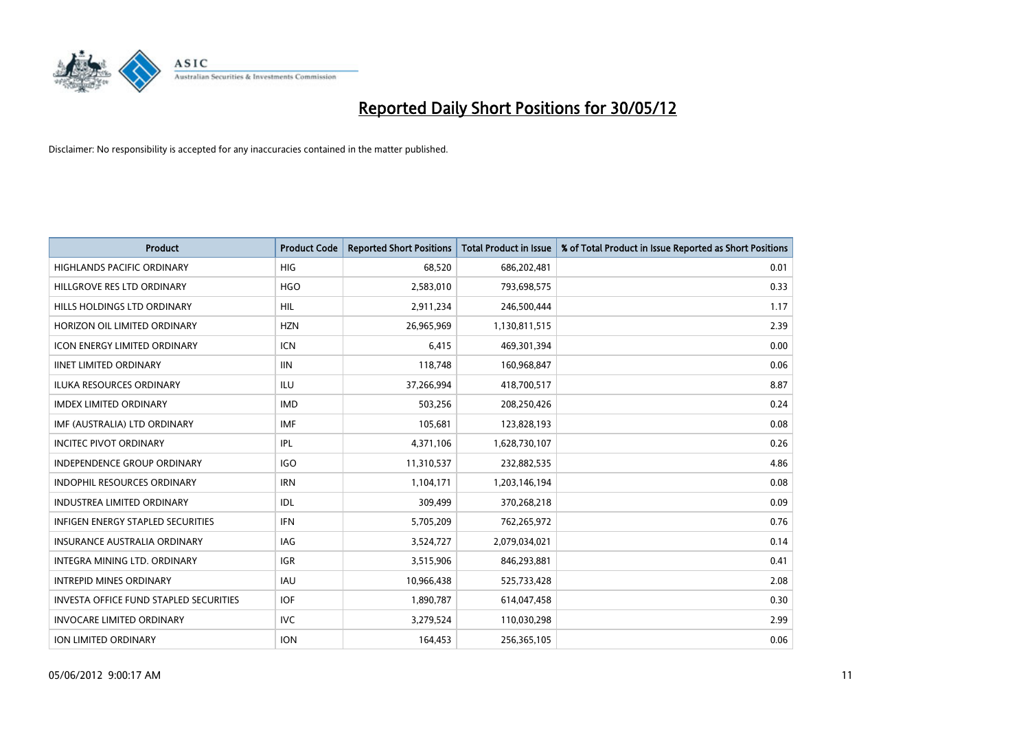

| <b>Product</b>                                | <b>Product Code</b> | <b>Reported Short Positions</b> | <b>Total Product in Issue</b> | % of Total Product in Issue Reported as Short Positions |
|-----------------------------------------------|---------------------|---------------------------------|-------------------------------|---------------------------------------------------------|
| <b>HIGHLANDS PACIFIC ORDINARY</b>             | <b>HIG</b>          | 68,520                          | 686,202,481                   | 0.01                                                    |
| HILLGROVE RES LTD ORDINARY                    | <b>HGO</b>          | 2,583,010                       | 793,698,575                   | 0.33                                                    |
| HILLS HOLDINGS LTD ORDINARY                   | <b>HIL</b>          | 2,911,234                       | 246,500,444                   | 1.17                                                    |
| HORIZON OIL LIMITED ORDINARY                  | <b>HZN</b>          | 26,965,969                      | 1,130,811,515                 | 2.39                                                    |
| <b>ICON ENERGY LIMITED ORDINARY</b>           | <b>ICN</b>          | 6,415                           | 469,301,394                   | 0.00                                                    |
| <b>IINET LIMITED ORDINARY</b>                 | <b>IIN</b>          | 118,748                         | 160,968,847                   | 0.06                                                    |
| <b>ILUKA RESOURCES ORDINARY</b>               | ILU                 | 37,266,994                      | 418,700,517                   | 8.87                                                    |
| <b>IMDEX LIMITED ORDINARY</b>                 | <b>IMD</b>          | 503,256                         | 208,250,426                   | 0.24                                                    |
| IMF (AUSTRALIA) LTD ORDINARY                  | <b>IMF</b>          | 105,681                         | 123,828,193                   | 0.08                                                    |
| <b>INCITEC PIVOT ORDINARY</b>                 | IPL                 | 4,371,106                       | 1,628,730,107                 | 0.26                                                    |
| <b>INDEPENDENCE GROUP ORDINARY</b>            | <b>IGO</b>          | 11,310,537                      | 232,882,535                   | 4.86                                                    |
| <b>INDOPHIL RESOURCES ORDINARY</b>            | <b>IRN</b>          | 1,104,171                       | 1,203,146,194                 | 0.08                                                    |
| INDUSTREA LIMITED ORDINARY                    | IDL                 | 309,499                         | 370,268,218                   | 0.09                                                    |
| <b>INFIGEN ENERGY STAPLED SECURITIES</b>      | <b>IFN</b>          | 5,705,209                       | 762,265,972                   | 0.76                                                    |
| <b>INSURANCE AUSTRALIA ORDINARY</b>           | IAG                 | 3,524,727                       | 2,079,034,021                 | 0.14                                                    |
| INTEGRA MINING LTD. ORDINARY                  | <b>IGR</b>          | 3,515,906                       | 846,293,881                   | 0.41                                                    |
| <b>INTREPID MINES ORDINARY</b>                | <b>IAU</b>          | 10,966,438                      | 525,733,428                   | 2.08                                                    |
| <b>INVESTA OFFICE FUND STAPLED SECURITIES</b> | <b>IOF</b>          | 1,890,787                       | 614,047,458                   | 0.30                                                    |
| <b>INVOCARE LIMITED ORDINARY</b>              | <b>IVC</b>          | 3,279,524                       | 110,030,298                   | 2.99                                                    |
| ION LIMITED ORDINARY                          | <b>ION</b>          | 164,453                         | 256,365,105                   | 0.06                                                    |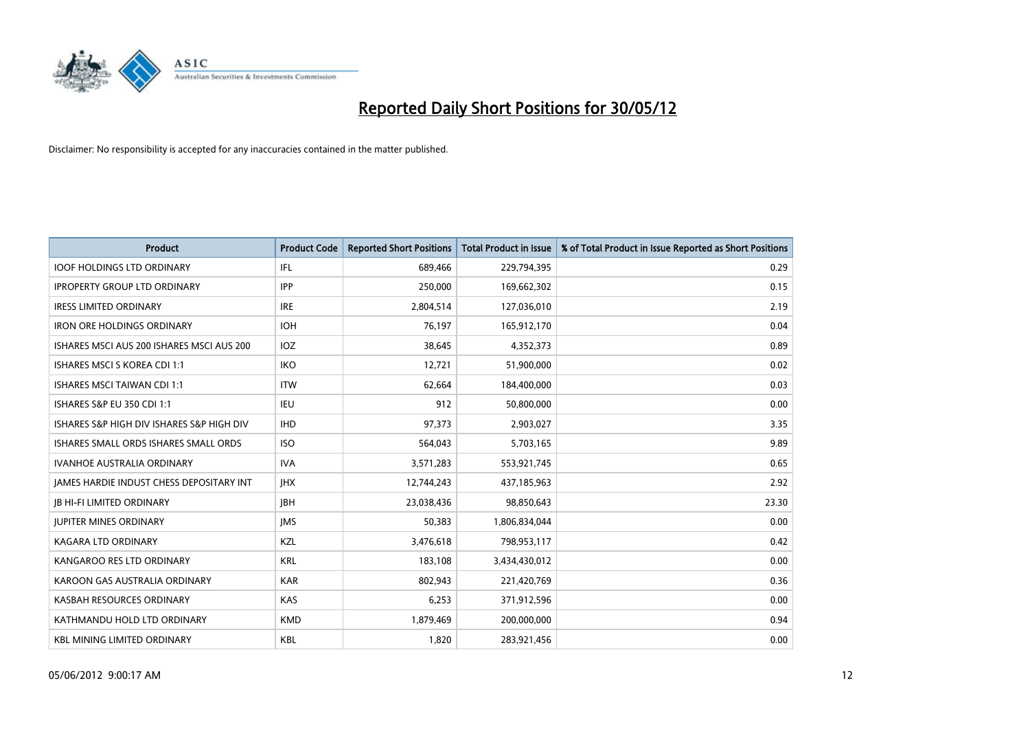

| <b>Product</b>                            | <b>Product Code</b> | <b>Reported Short Positions</b> | <b>Total Product in Issue</b> | % of Total Product in Issue Reported as Short Positions |
|-------------------------------------------|---------------------|---------------------------------|-------------------------------|---------------------------------------------------------|
| <b>IOOF HOLDINGS LTD ORDINARY</b>         | IFL                 | 689,466                         | 229,794,395                   | 0.29                                                    |
| <b>IPROPERTY GROUP LTD ORDINARY</b>       | <b>IPP</b>          | 250,000                         | 169,662,302                   | 0.15                                                    |
|                                           |                     |                                 |                               |                                                         |
| <b>IRESS LIMITED ORDINARY</b>             | <b>IRE</b>          | 2,804,514                       | 127,036,010                   | 2.19                                                    |
| <b>IRON ORE HOLDINGS ORDINARY</b>         | <b>IOH</b>          | 76,197                          | 165,912,170                   | 0.04                                                    |
| ISHARES MSCI AUS 200 ISHARES MSCI AUS 200 | IOZ                 | 38,645                          | 4,352,373                     | 0.89                                                    |
| ISHARES MSCI S KOREA CDI 1:1              | <b>IKO</b>          | 12,721                          | 51,900,000                    | 0.02                                                    |
| <b>ISHARES MSCI TAIWAN CDI 1:1</b>        | <b>ITW</b>          | 62,664                          | 184,400,000                   | 0.03                                                    |
| <b>ISHARES S&amp;P EU 350 CDI 1:1</b>     | <b>IEU</b>          | 912                             | 50,800,000                    | 0.00                                                    |
| ISHARES S&P HIGH DIV ISHARES S&P HIGH DIV | <b>IHD</b>          | 97,373                          | 2,903,027                     | 3.35                                                    |
| ISHARES SMALL ORDS ISHARES SMALL ORDS     | <b>ISO</b>          | 564,043                         | 5,703,165                     | 9.89                                                    |
| <b>IVANHOE AUSTRALIA ORDINARY</b>         | <b>IVA</b>          | 3,571,283                       | 553,921,745                   | 0.65                                                    |
| JAMES HARDIE INDUST CHESS DEPOSITARY INT  | <b>IHX</b>          | 12,744,243                      | 437,185,963                   | 2.92                                                    |
| <b>JB HI-FI LIMITED ORDINARY</b>          | <b>JBH</b>          | 23,038,436                      | 98,850,643                    | 23.30                                                   |
| <b>JUPITER MINES ORDINARY</b>             | <b>IMS</b>          | 50,383                          | 1,806,834,044                 | 0.00                                                    |
| <b>KAGARA LTD ORDINARY</b>                | KZL                 | 3,476,618                       | 798,953,117                   | 0.42                                                    |
| KANGAROO RES LTD ORDINARY                 | <b>KRL</b>          | 183,108                         | 3,434,430,012                 | 0.00                                                    |
| KAROON GAS AUSTRALIA ORDINARY             | <b>KAR</b>          | 802,943                         | 221,420,769                   | 0.36                                                    |
| KASBAH RESOURCES ORDINARY                 | KAS                 | 6,253                           | 371,912,596                   | 0.00                                                    |
| KATHMANDU HOLD LTD ORDINARY               | <b>KMD</b>          | 1,879,469                       | 200,000,000                   | 0.94                                                    |
| <b>KBL MINING LIMITED ORDINARY</b>        | <b>KBL</b>          | 1,820                           | 283,921,456                   | 0.00                                                    |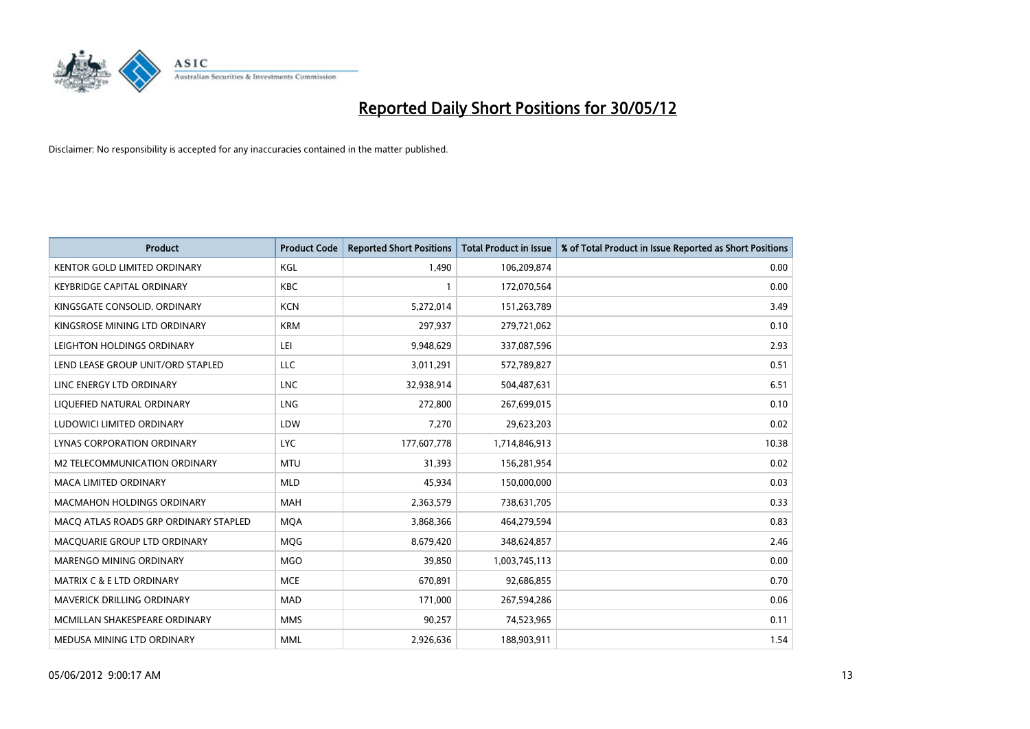

| <b>Product</b>                        | <b>Product Code</b> | <b>Reported Short Positions</b> | <b>Total Product in Issue</b> | % of Total Product in Issue Reported as Short Positions |
|---------------------------------------|---------------------|---------------------------------|-------------------------------|---------------------------------------------------------|
| <b>KENTOR GOLD LIMITED ORDINARY</b>   | <b>KGL</b>          | 1,490                           | 106,209,874                   | 0.00                                                    |
| <b>KEYBRIDGE CAPITAL ORDINARY</b>     | <b>KBC</b>          |                                 | 172,070,564                   | 0.00                                                    |
| KINGSGATE CONSOLID. ORDINARY          | <b>KCN</b>          | 5,272,014                       | 151,263,789                   | 3.49                                                    |
| KINGSROSE MINING LTD ORDINARY         | <b>KRM</b>          | 297,937                         | 279,721,062                   | 0.10                                                    |
| LEIGHTON HOLDINGS ORDINARY            | LEI                 | 9,948,629                       | 337,087,596                   | 2.93                                                    |
| LEND LEASE GROUP UNIT/ORD STAPLED     | <b>LLC</b>          | 3,011,291                       | 572,789,827                   | 0.51                                                    |
| LINC ENERGY LTD ORDINARY              | <b>LNC</b>          | 32,938,914                      | 504,487,631                   | 6.51                                                    |
| LIQUEFIED NATURAL ORDINARY            | <b>LNG</b>          | 272,800                         | 267,699,015                   | 0.10                                                    |
| LUDOWICI LIMITED ORDINARY             | LDW                 | 7,270                           | 29,623,203                    | 0.02                                                    |
| LYNAS CORPORATION ORDINARY            | <b>LYC</b>          | 177,607,778                     | 1,714,846,913                 | 10.38                                                   |
| M2 TELECOMMUNICATION ORDINARY         | <b>MTU</b>          | 31,393                          | 156,281,954                   | 0.02                                                    |
| <b>MACA LIMITED ORDINARY</b>          | <b>MLD</b>          | 45,934                          | 150,000,000                   | 0.03                                                    |
| MACMAHON HOLDINGS ORDINARY            | MAH                 | 2,363,579                       | 738,631,705                   | 0.33                                                    |
| MACO ATLAS ROADS GRP ORDINARY STAPLED | <b>MOA</b>          | 3,868,366                       | 464,279,594                   | 0.83                                                    |
| MACQUARIE GROUP LTD ORDINARY          | MQG                 | 8,679,420                       | 348,624,857                   | 2.46                                                    |
| MARENGO MINING ORDINARY               | <b>MGO</b>          | 39,850                          | 1,003,745,113                 | 0.00                                                    |
| <b>MATRIX C &amp; E LTD ORDINARY</b>  | <b>MCE</b>          | 670,891                         | 92,686,855                    | 0.70                                                    |
| MAVERICK DRILLING ORDINARY            | <b>MAD</b>          | 171,000                         | 267,594,286                   | 0.06                                                    |
| MCMILLAN SHAKESPEARE ORDINARY         | <b>MMS</b>          | 90,257                          | 74,523,965                    | 0.11                                                    |
| MEDUSA MINING LTD ORDINARY            | <b>MML</b>          | 2,926,636                       | 188,903,911                   | 1.54                                                    |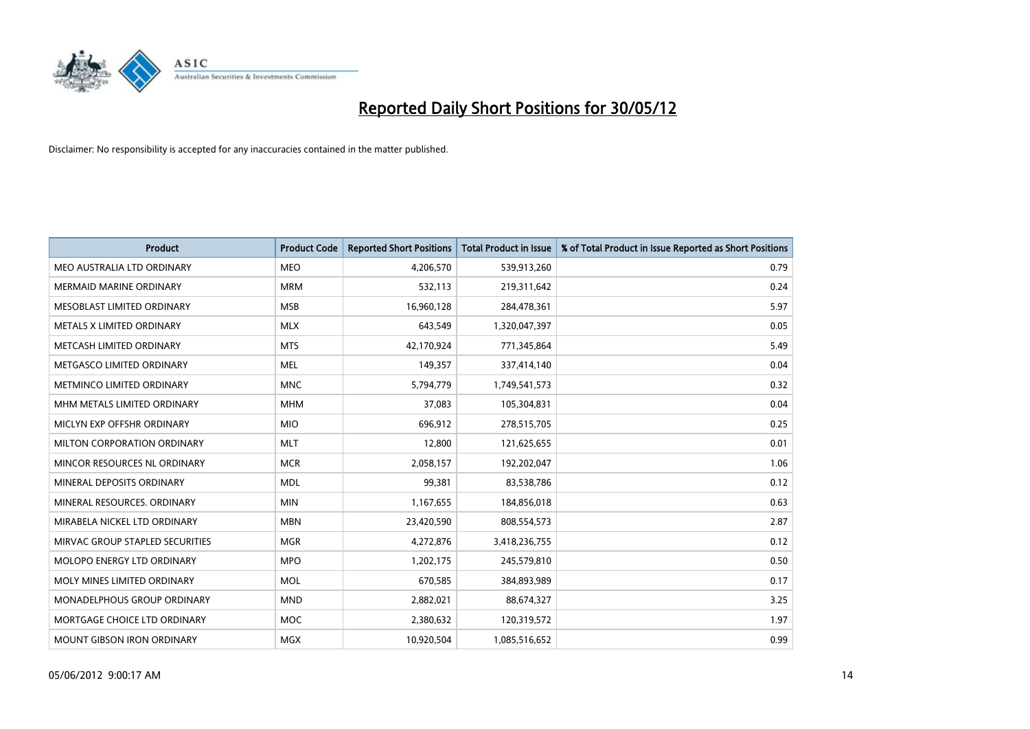

| <b>Product</b>                  | <b>Product Code</b> | <b>Reported Short Positions</b> | <b>Total Product in Issue</b> | % of Total Product in Issue Reported as Short Positions |
|---------------------------------|---------------------|---------------------------------|-------------------------------|---------------------------------------------------------|
| MEO AUSTRALIA LTD ORDINARY      | <b>MEO</b>          | 4,206,570                       | 539,913,260                   | 0.79                                                    |
| MERMAID MARINE ORDINARY         | <b>MRM</b>          | 532,113                         | 219,311,642                   | 0.24                                                    |
| MESOBLAST LIMITED ORDINARY      | <b>MSB</b>          | 16,960,128                      | 284,478,361                   | 5.97                                                    |
| METALS X LIMITED ORDINARY       | <b>MLX</b>          | 643,549                         | 1,320,047,397                 | 0.05                                                    |
| METCASH LIMITED ORDINARY        | <b>MTS</b>          | 42,170,924                      | 771,345,864                   | 5.49                                                    |
| METGASCO LIMITED ORDINARY       | <b>MEL</b>          | 149,357                         | 337,414,140                   | 0.04                                                    |
| METMINCO LIMITED ORDINARY       | <b>MNC</b>          | 5,794,779                       | 1,749,541,573                 | 0.32                                                    |
| MHM METALS LIMITED ORDINARY     | <b>MHM</b>          | 37,083                          | 105,304,831                   | 0.04                                                    |
| MICLYN EXP OFFSHR ORDINARY      | <b>MIO</b>          | 696,912                         | 278,515,705                   | 0.25                                                    |
| MILTON CORPORATION ORDINARY     | <b>MLT</b>          | 12,800                          | 121,625,655                   | 0.01                                                    |
| MINCOR RESOURCES NL ORDINARY    | <b>MCR</b>          | 2,058,157                       | 192,202,047                   | 1.06                                                    |
| MINERAL DEPOSITS ORDINARY       | <b>MDL</b>          | 99,381                          | 83,538,786                    | 0.12                                                    |
| MINERAL RESOURCES. ORDINARY     | <b>MIN</b>          | 1,167,655                       | 184,856,018                   | 0.63                                                    |
| MIRABELA NICKEL LTD ORDINARY    | <b>MBN</b>          | 23,420,590                      | 808,554,573                   | 2.87                                                    |
| MIRVAC GROUP STAPLED SECURITIES | <b>MGR</b>          | 4,272,876                       | 3,418,236,755                 | 0.12                                                    |
| MOLOPO ENERGY LTD ORDINARY      | <b>MPO</b>          | 1,202,175                       | 245,579,810                   | 0.50                                                    |
| MOLY MINES LIMITED ORDINARY     | <b>MOL</b>          | 670,585                         | 384,893,989                   | 0.17                                                    |
| MONADELPHOUS GROUP ORDINARY     | <b>MND</b>          | 2,882,021                       | 88,674,327                    | 3.25                                                    |
| MORTGAGE CHOICE LTD ORDINARY    | <b>MOC</b>          | 2,380,632                       | 120,319,572                   | 1.97                                                    |
| MOUNT GIBSON IRON ORDINARY      | MGX                 | 10,920,504                      | 1,085,516,652                 | 0.99                                                    |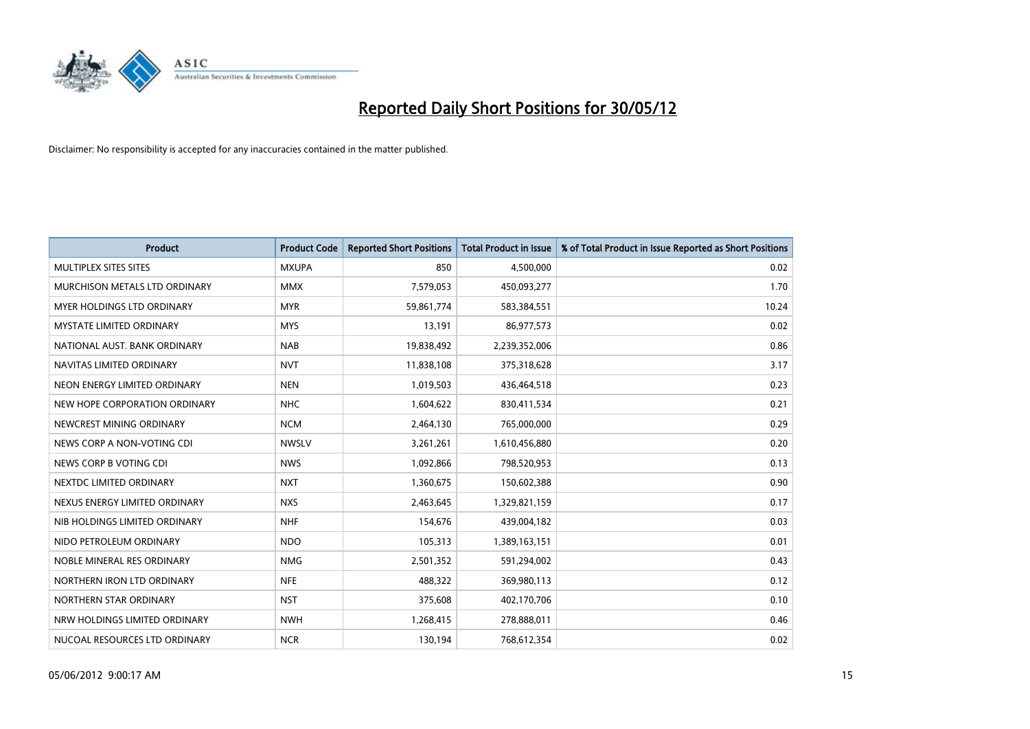

| <b>Product</b>                    | <b>Product Code</b> | <b>Reported Short Positions</b> | <b>Total Product in Issue</b> | % of Total Product in Issue Reported as Short Positions |
|-----------------------------------|---------------------|---------------------------------|-------------------------------|---------------------------------------------------------|
| MULTIPLEX SITES SITES             | <b>MXUPA</b>        | 850                             | 4,500,000                     | 0.02                                                    |
| MURCHISON METALS LTD ORDINARY     | <b>MMX</b>          | 7,579,053                       | 450,093,277                   | 1.70                                                    |
| <b>MYER HOLDINGS LTD ORDINARY</b> | <b>MYR</b>          | 59,861,774                      | 583,384,551                   | 10.24                                                   |
| MYSTATE LIMITED ORDINARY          | <b>MYS</b>          | 13,191                          | 86,977,573                    | 0.02                                                    |
| NATIONAL AUST, BANK ORDINARY      | <b>NAB</b>          | 19,838,492                      | 2,239,352,006                 | 0.86                                                    |
| NAVITAS LIMITED ORDINARY          | <b>NVT</b>          | 11,838,108                      | 375,318,628                   | 3.17                                                    |
| NEON ENERGY LIMITED ORDINARY      | <b>NEN</b>          | 1,019,503                       | 436,464,518                   | 0.23                                                    |
| NEW HOPE CORPORATION ORDINARY     | <b>NHC</b>          | 1,604,622                       | 830,411,534                   | 0.21                                                    |
| NEWCREST MINING ORDINARY          | <b>NCM</b>          | 2,464,130                       | 765,000,000                   | 0.29                                                    |
| NEWS CORP A NON-VOTING CDI        | <b>NWSLV</b>        | 3,261,261                       | 1,610,456,880                 | 0.20                                                    |
| NEWS CORP B VOTING CDI            | <b>NWS</b>          | 1,092,866                       | 798,520,953                   | 0.13                                                    |
| NEXTDC LIMITED ORDINARY           | <b>NXT</b>          | 1,360,675                       | 150,602,388                   | 0.90                                                    |
| NEXUS ENERGY LIMITED ORDINARY     | <b>NXS</b>          | 2,463,645                       | 1,329,821,159                 | 0.17                                                    |
| NIB HOLDINGS LIMITED ORDINARY     | <b>NHF</b>          | 154,676                         | 439,004,182                   | 0.03                                                    |
| NIDO PETROLEUM ORDINARY           | <b>NDO</b>          | 105,313                         | 1,389,163,151                 | 0.01                                                    |
| NOBLE MINERAL RES ORDINARY        | <b>NMG</b>          | 2,501,352                       | 591,294,002                   | 0.43                                                    |
| NORTHERN IRON LTD ORDINARY        | <b>NFE</b>          | 488,322                         | 369,980,113                   | 0.12                                                    |
| NORTHERN STAR ORDINARY            | <b>NST</b>          | 375,608                         | 402,170,706                   | 0.10                                                    |
| NRW HOLDINGS LIMITED ORDINARY     | <b>NWH</b>          | 1,268,415                       | 278,888,011                   | 0.46                                                    |
| NUCOAL RESOURCES LTD ORDINARY     | <b>NCR</b>          | 130,194                         | 768,612,354                   | 0.02                                                    |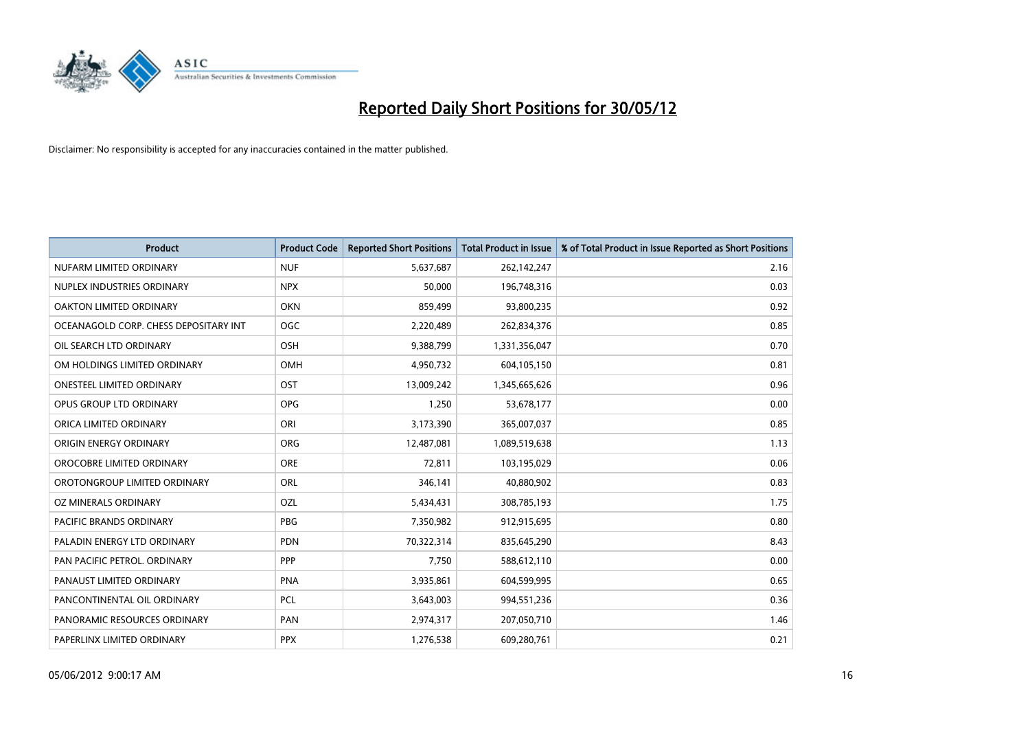

| <b>Product</b>                        | <b>Product Code</b> | <b>Reported Short Positions</b> | <b>Total Product in Issue</b> | % of Total Product in Issue Reported as Short Positions |
|---------------------------------------|---------------------|---------------------------------|-------------------------------|---------------------------------------------------------|
| NUFARM LIMITED ORDINARY               | <b>NUF</b>          | 5,637,687                       | 262,142,247                   | 2.16                                                    |
| NUPLEX INDUSTRIES ORDINARY            | <b>NPX</b>          | 50,000                          | 196,748,316                   | 0.03                                                    |
| OAKTON LIMITED ORDINARY               | <b>OKN</b>          | 859,499                         | 93,800,235                    | 0.92                                                    |
| OCEANAGOLD CORP. CHESS DEPOSITARY INT | <b>OGC</b>          | 2,220,489                       | 262,834,376                   | 0.85                                                    |
| OIL SEARCH LTD ORDINARY               | OSH                 | 9,388,799                       | 1,331,356,047                 | 0.70                                                    |
| OM HOLDINGS LIMITED ORDINARY          | <b>OMH</b>          | 4,950,732                       | 604,105,150                   | 0.81                                                    |
| <b>ONESTEEL LIMITED ORDINARY</b>      | OST                 | 13,009,242                      | 1,345,665,626                 | 0.96                                                    |
| OPUS GROUP LTD ORDINARY               | <b>OPG</b>          | 1,250                           | 53,678,177                    | 0.00                                                    |
| ORICA LIMITED ORDINARY                | ORI                 | 3,173,390                       | 365,007,037                   | 0.85                                                    |
| ORIGIN ENERGY ORDINARY                | <b>ORG</b>          | 12,487,081                      | 1,089,519,638                 | 1.13                                                    |
| OROCOBRE LIMITED ORDINARY             | ORE                 | 72,811                          | 103,195,029                   | 0.06                                                    |
| OROTONGROUP LIMITED ORDINARY          | ORL                 | 346,141                         | 40,880,902                    | 0.83                                                    |
| OZ MINERALS ORDINARY                  | OZL                 | 5,434,431                       | 308,785,193                   | 1.75                                                    |
| PACIFIC BRANDS ORDINARY               | <b>PBG</b>          | 7,350,982                       | 912,915,695                   | 0.80                                                    |
| PALADIN ENERGY LTD ORDINARY           | <b>PDN</b>          | 70,322,314                      | 835,645,290                   | 8.43                                                    |
| PAN PACIFIC PETROL. ORDINARY          | PPP                 | 7,750                           | 588,612,110                   | 0.00                                                    |
| PANAUST LIMITED ORDINARY              | <b>PNA</b>          | 3,935,861                       | 604,599,995                   | 0.65                                                    |
| PANCONTINENTAL OIL ORDINARY           | PCL                 | 3,643,003                       | 994,551,236                   | 0.36                                                    |
| PANORAMIC RESOURCES ORDINARY          | PAN                 | 2,974,317                       | 207,050,710                   | 1.46                                                    |
| PAPERLINX LIMITED ORDINARY            | <b>PPX</b>          | 1,276,538                       | 609,280,761                   | 0.21                                                    |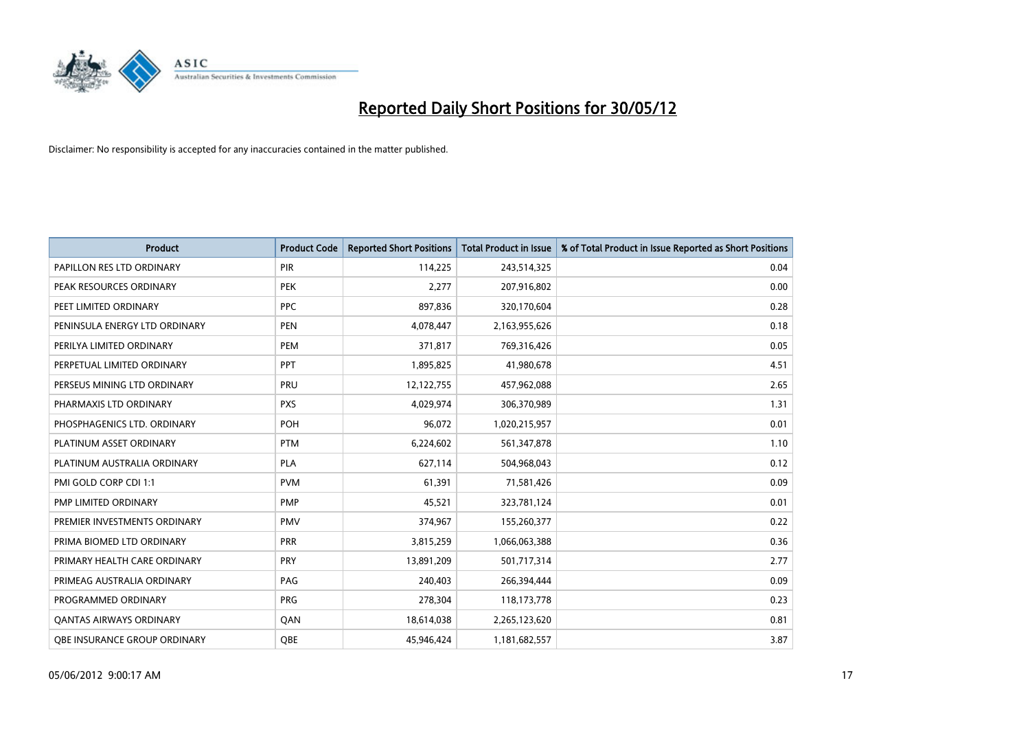

| <b>Product</b>                      | <b>Product Code</b> | <b>Reported Short Positions</b> | <b>Total Product in Issue</b> | % of Total Product in Issue Reported as Short Positions |
|-------------------------------------|---------------------|---------------------------------|-------------------------------|---------------------------------------------------------|
| PAPILLON RES LTD ORDINARY           | PIR                 | 114,225                         | 243,514,325                   | 0.04                                                    |
| PEAK RESOURCES ORDINARY             | <b>PEK</b>          | 2,277                           | 207,916,802                   | 0.00                                                    |
| PEET LIMITED ORDINARY               | <b>PPC</b>          | 897,836                         | 320,170,604                   | 0.28                                                    |
| PENINSULA ENERGY LTD ORDINARY       | <b>PEN</b>          | 4,078,447                       | 2,163,955,626                 | 0.18                                                    |
| PERILYA LIMITED ORDINARY            | PEM                 | 371,817                         | 769,316,426                   | 0.05                                                    |
| PERPETUAL LIMITED ORDINARY          | <b>PPT</b>          | 1,895,825                       | 41,980,678                    | 4.51                                                    |
| PERSEUS MINING LTD ORDINARY         | <b>PRU</b>          | 12,122,755                      | 457,962,088                   | 2.65                                                    |
| PHARMAXIS LTD ORDINARY              | <b>PXS</b>          | 4,029,974                       | 306,370,989                   | 1.31                                                    |
| PHOSPHAGENICS LTD. ORDINARY         | POH                 | 96,072                          | 1,020,215,957                 | 0.01                                                    |
| PLATINUM ASSET ORDINARY             | <b>PTM</b>          | 6,224,602                       | 561,347,878                   | 1.10                                                    |
| PLATINUM AUSTRALIA ORDINARY         | PLA                 | 627,114                         | 504,968,043                   | 0.12                                                    |
| PMI GOLD CORP CDI 1:1               | <b>PVM</b>          | 61,391                          | 71,581,426                    | 0.09                                                    |
| PMP LIMITED ORDINARY                | <b>PMP</b>          | 45,521                          | 323,781,124                   | 0.01                                                    |
| PREMIER INVESTMENTS ORDINARY        | <b>PMV</b>          | 374,967                         | 155,260,377                   | 0.22                                                    |
| PRIMA BIOMED LTD ORDINARY           | <b>PRR</b>          | 3,815,259                       | 1,066,063,388                 | 0.36                                                    |
| PRIMARY HEALTH CARE ORDINARY        | <b>PRY</b>          | 13,891,209                      | 501,717,314                   | 2.77                                                    |
| PRIMEAG AUSTRALIA ORDINARY          | PAG                 | 240,403                         | 266,394,444                   | 0.09                                                    |
| PROGRAMMED ORDINARY                 | <b>PRG</b>          | 278,304                         | 118, 173, 778                 | 0.23                                                    |
| <b>QANTAS AIRWAYS ORDINARY</b>      | QAN                 | 18,614,038                      | 2,265,123,620                 | 0.81                                                    |
| <b>QBE INSURANCE GROUP ORDINARY</b> | OBE                 | 45,946,424                      | 1,181,682,557                 | 3.87                                                    |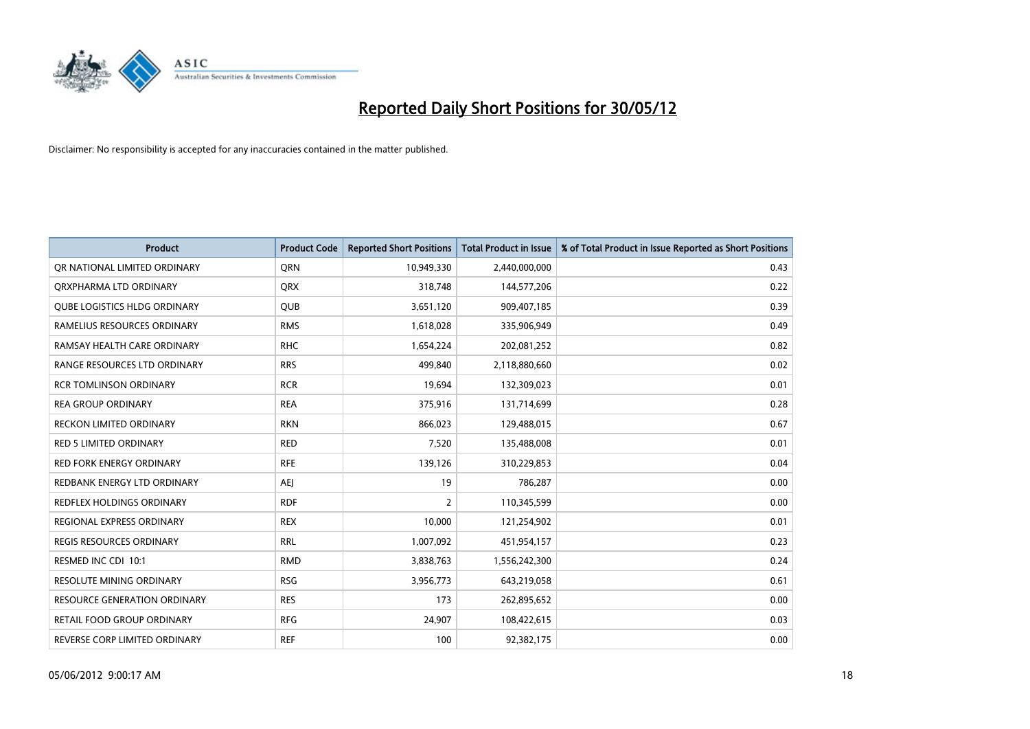

| <b>Product</b>                      | <b>Product Code</b> | <b>Reported Short Positions</b> | <b>Total Product in Issue</b> | % of Total Product in Issue Reported as Short Positions |
|-------------------------------------|---------------------|---------------------------------|-------------------------------|---------------------------------------------------------|
| OR NATIONAL LIMITED ORDINARY        | <b>ORN</b>          | 10,949,330                      | 2,440,000,000                 | 0.43                                                    |
| ORXPHARMA LTD ORDINARY              | <b>QRX</b>          | 318,748                         | 144,577,206                   | 0.22                                                    |
| <b>QUBE LOGISTICS HLDG ORDINARY</b> | <b>QUB</b>          | 3,651,120                       | 909,407,185                   | 0.39                                                    |
| RAMELIUS RESOURCES ORDINARY         | <b>RMS</b>          | 1,618,028                       | 335,906,949                   | 0.49                                                    |
| RAMSAY HEALTH CARE ORDINARY         | <b>RHC</b>          | 1,654,224                       | 202,081,252                   | 0.82                                                    |
| RANGE RESOURCES LTD ORDINARY        | <b>RRS</b>          | 499,840                         | 2,118,880,660                 | 0.02                                                    |
| <b>RCR TOMLINSON ORDINARY</b>       | <b>RCR</b>          | 19,694                          | 132,309,023                   | 0.01                                                    |
| <b>REA GROUP ORDINARY</b>           | <b>REA</b>          | 375,916                         | 131,714,699                   | 0.28                                                    |
| <b>RECKON LIMITED ORDINARY</b>      | <b>RKN</b>          | 866,023                         | 129,488,015                   | 0.67                                                    |
| <b>RED 5 LIMITED ORDINARY</b>       | <b>RED</b>          | 7,520                           | 135,488,008                   | 0.01                                                    |
| RED FORK ENERGY ORDINARY            | <b>RFE</b>          | 139,126                         | 310,229,853                   | 0.04                                                    |
| REDBANK ENERGY LTD ORDINARY         | AEJ                 | 19                              | 786,287                       | 0.00                                                    |
| REDFLEX HOLDINGS ORDINARY           | <b>RDF</b>          | $\overline{2}$                  | 110,345,599                   | 0.00                                                    |
| REGIONAL EXPRESS ORDINARY           | <b>REX</b>          | 10,000                          | 121,254,902                   | 0.01                                                    |
| <b>REGIS RESOURCES ORDINARY</b>     | <b>RRL</b>          | 1,007,092                       | 451,954,157                   | 0.23                                                    |
| RESMED INC CDI 10:1                 | <b>RMD</b>          | 3,838,763                       | 1,556,242,300                 | 0.24                                                    |
| RESOLUTE MINING ORDINARY            | <b>RSG</b>          | 3,956,773                       | 643,219,058                   | 0.61                                                    |
| RESOURCE GENERATION ORDINARY        | <b>RES</b>          | 173                             | 262,895,652                   | 0.00                                                    |
| <b>RETAIL FOOD GROUP ORDINARY</b>   | <b>RFG</b>          | 24,907                          | 108,422,615                   | 0.03                                                    |
| REVERSE CORP LIMITED ORDINARY       | <b>REF</b>          | 100                             | 92,382,175                    | 0.00                                                    |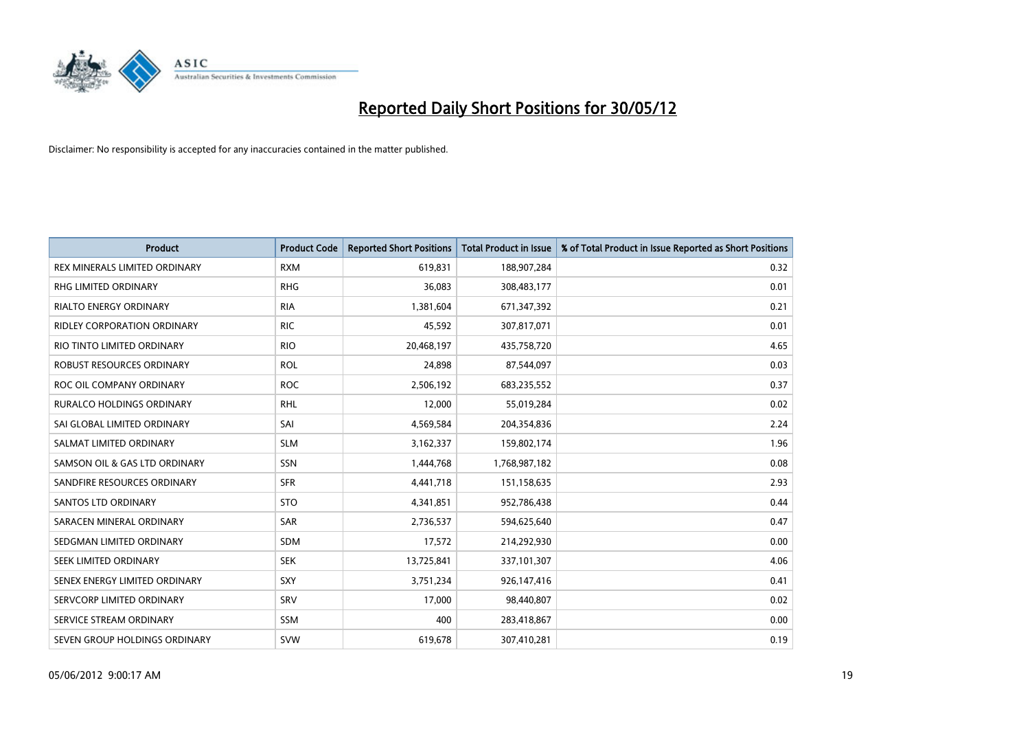

| <b>Product</b>                     | <b>Product Code</b> | <b>Reported Short Positions</b> | <b>Total Product in Issue</b> | % of Total Product in Issue Reported as Short Positions |
|------------------------------------|---------------------|---------------------------------|-------------------------------|---------------------------------------------------------|
| REX MINERALS LIMITED ORDINARY      | <b>RXM</b>          | 619,831                         | 188,907,284                   | 0.32                                                    |
| RHG LIMITED ORDINARY               | <b>RHG</b>          | 36,083                          | 308,483,177                   | 0.01                                                    |
| <b>RIALTO ENERGY ORDINARY</b>      | <b>RIA</b>          | 1,381,604                       | 671,347,392                   | 0.21                                                    |
| <b>RIDLEY CORPORATION ORDINARY</b> | <b>RIC</b>          | 45,592                          | 307,817,071                   | 0.01                                                    |
| RIO TINTO LIMITED ORDINARY         | <b>RIO</b>          | 20,468,197                      | 435,758,720                   | 4.65                                                    |
| <b>ROBUST RESOURCES ORDINARY</b>   | <b>ROL</b>          | 24,898                          | 87,544,097                    | 0.03                                                    |
| ROC OIL COMPANY ORDINARY           | <b>ROC</b>          | 2,506,192                       | 683,235,552                   | 0.37                                                    |
| RURALCO HOLDINGS ORDINARY          | <b>RHL</b>          | 12,000                          | 55,019,284                    | 0.02                                                    |
| SAI GLOBAL LIMITED ORDINARY        | SAI                 | 4,569,584                       | 204,354,836                   | 2.24                                                    |
| SALMAT LIMITED ORDINARY            | <b>SLM</b>          | 3,162,337                       | 159,802,174                   | 1.96                                                    |
| SAMSON OIL & GAS LTD ORDINARY      | SSN                 | 1,444,768                       | 1,768,987,182                 | 0.08                                                    |
| SANDFIRE RESOURCES ORDINARY        | <b>SFR</b>          | 4,441,718                       | 151,158,635                   | 2.93                                                    |
| <b>SANTOS LTD ORDINARY</b>         | <b>STO</b>          | 4,341,851                       | 952,786,438                   | 0.44                                                    |
| SARACEN MINERAL ORDINARY           | SAR                 | 2,736,537                       | 594,625,640                   | 0.47                                                    |
| SEDGMAN LIMITED ORDINARY           | <b>SDM</b>          | 17,572                          | 214,292,930                   | 0.00                                                    |
| SEEK LIMITED ORDINARY              | <b>SEK</b>          | 13,725,841                      | 337,101,307                   | 4.06                                                    |
| SENEX ENERGY LIMITED ORDINARY      | SXY                 | 3,751,234                       | 926,147,416                   | 0.41                                                    |
| SERVCORP LIMITED ORDINARY          | SRV                 | 17,000                          | 98,440,807                    | 0.02                                                    |
| SERVICE STREAM ORDINARY            | <b>SSM</b>          | 400                             | 283,418,867                   | 0.00                                                    |
| SEVEN GROUP HOLDINGS ORDINARY      | <b>SVW</b>          | 619,678                         | 307,410,281                   | 0.19                                                    |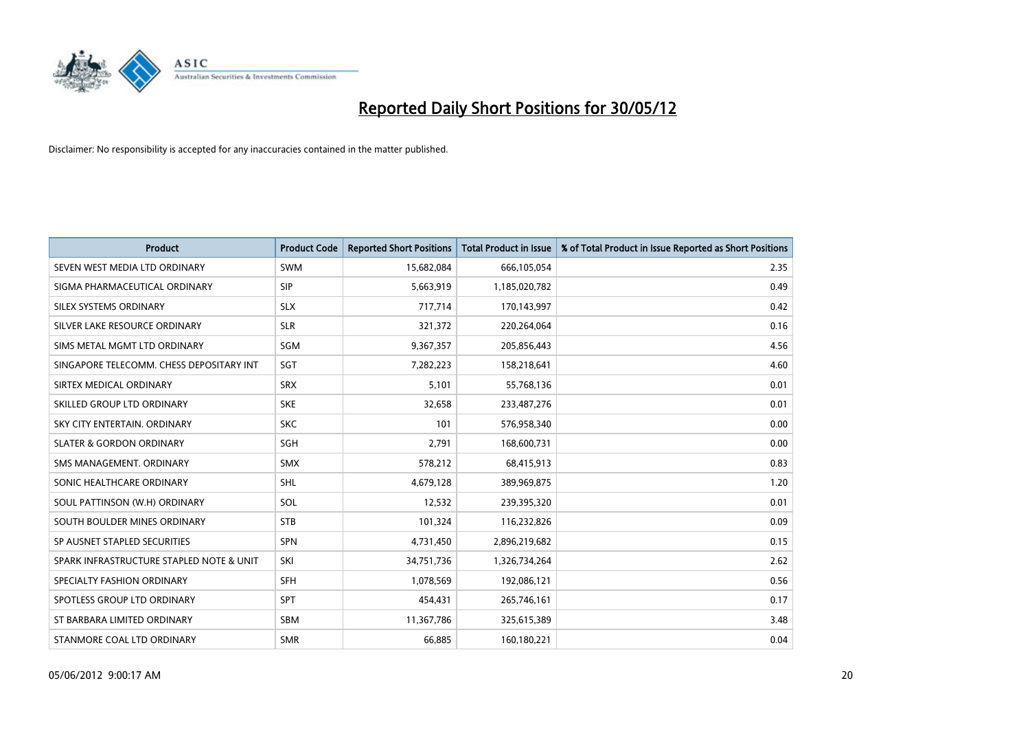

| <b>Product</b>                           | <b>Product Code</b> | <b>Reported Short Positions</b> | <b>Total Product in Issue</b> | % of Total Product in Issue Reported as Short Positions |
|------------------------------------------|---------------------|---------------------------------|-------------------------------|---------------------------------------------------------|
| SEVEN WEST MEDIA LTD ORDINARY            | <b>SWM</b>          | 15,682,084                      | 666,105,054                   | 2.35                                                    |
| SIGMA PHARMACEUTICAL ORDINARY            | <b>SIP</b>          | 5,663,919                       | 1,185,020,782                 | 0.49                                                    |
| SILEX SYSTEMS ORDINARY                   | <b>SLX</b>          | 717,714                         | 170,143,997                   | 0.42                                                    |
| SILVER LAKE RESOURCE ORDINARY            | <b>SLR</b>          | 321,372                         | 220,264,064                   | 0.16                                                    |
| SIMS METAL MGMT LTD ORDINARY             | SGM                 | 9,367,357                       | 205,856,443                   | 4.56                                                    |
| SINGAPORE TELECOMM. CHESS DEPOSITARY INT | SGT                 | 7,282,223                       | 158,218,641                   | 4.60                                                    |
| SIRTEX MEDICAL ORDINARY                  | <b>SRX</b>          | 5,101                           | 55,768,136                    | 0.01                                                    |
| SKILLED GROUP LTD ORDINARY               | <b>SKE</b>          | 32,658                          | 233,487,276                   | 0.01                                                    |
| SKY CITY ENTERTAIN, ORDINARY             | <b>SKC</b>          | 101                             | 576,958,340                   | 0.00                                                    |
| <b>SLATER &amp; GORDON ORDINARY</b>      | SGH                 | 2,791                           | 168,600,731                   | 0.00                                                    |
| SMS MANAGEMENT. ORDINARY                 | <b>SMX</b>          | 578,212                         | 68,415,913                    | 0.83                                                    |
| SONIC HEALTHCARE ORDINARY                | SHL                 | 4,679,128                       | 389,969,875                   | 1.20                                                    |
| SOUL PATTINSON (W.H) ORDINARY            | SOL                 | 12,532                          | 239,395,320                   | 0.01                                                    |
| SOUTH BOULDER MINES ORDINARY             | <b>STB</b>          | 101,324                         | 116,232,826                   | 0.09                                                    |
| SP AUSNET STAPLED SECURITIES             | <b>SPN</b>          | 4,731,450                       | 2,896,219,682                 | 0.15                                                    |
| SPARK INFRASTRUCTURE STAPLED NOTE & UNIT | SKI                 | 34,751,736                      | 1,326,734,264                 | 2.62                                                    |
| SPECIALTY FASHION ORDINARY               | SFH                 | 1,078,569                       | 192,086,121                   | 0.56                                                    |
| SPOTLESS GROUP LTD ORDINARY              | <b>SPT</b>          | 454,431                         | 265,746,161                   | 0.17                                                    |
| ST BARBARA LIMITED ORDINARY              | <b>SBM</b>          | 11,367,786                      | 325,615,389                   | 3.48                                                    |
| STANMORE COAL LTD ORDINARY               | <b>SMR</b>          | 66,885                          | 160,180,221                   | 0.04                                                    |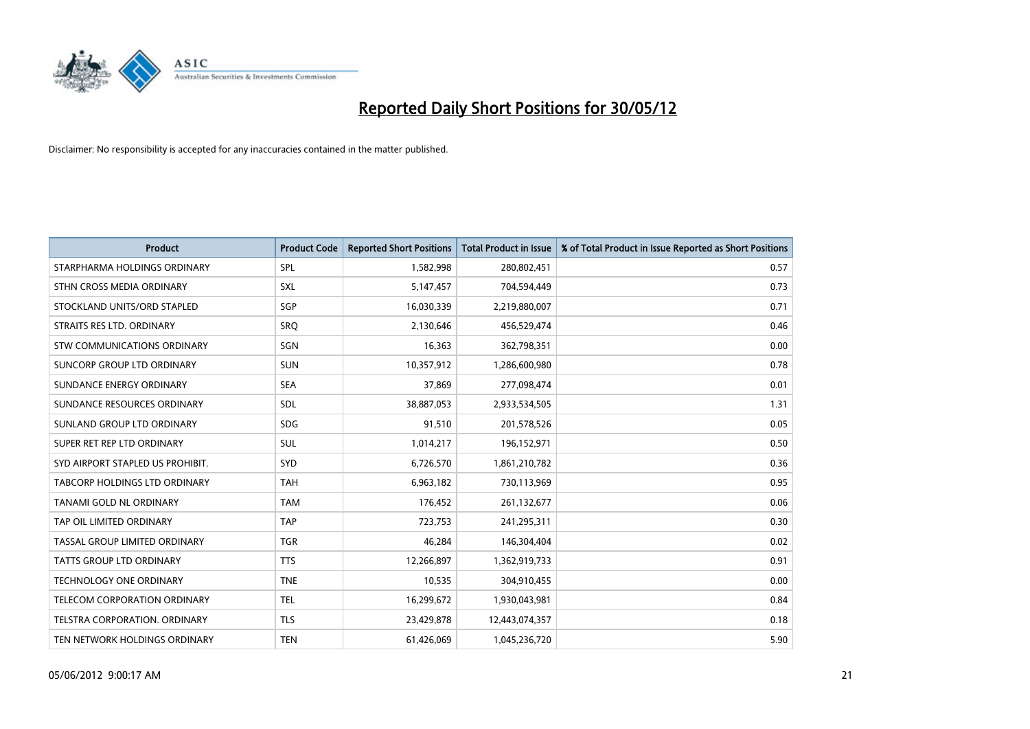

| <b>Product</b>                       | <b>Product Code</b> | <b>Reported Short Positions</b> | <b>Total Product in Issue</b> | % of Total Product in Issue Reported as Short Positions |
|--------------------------------------|---------------------|---------------------------------|-------------------------------|---------------------------------------------------------|
| STARPHARMA HOLDINGS ORDINARY         | SPL                 | 1,582,998                       | 280,802,451                   | 0.57                                                    |
| STHN CROSS MEDIA ORDINARY            | <b>SXL</b>          | 5,147,457                       | 704,594,449                   | 0.73                                                    |
| STOCKLAND UNITS/ORD STAPLED          | SGP                 | 16,030,339                      | 2,219,880,007                 | 0.71                                                    |
| STRAITS RES LTD. ORDINARY            | <b>SRQ</b>          | 2,130,646                       | 456,529,474                   | 0.46                                                    |
| STW COMMUNICATIONS ORDINARY          | SGN                 | 16,363                          | 362,798,351                   | 0.00                                                    |
| SUNCORP GROUP LTD ORDINARY           | <b>SUN</b>          | 10,357,912                      | 1,286,600,980                 | 0.78                                                    |
| SUNDANCE ENERGY ORDINARY             | <b>SEA</b>          | 37,869                          | 277,098,474                   | 0.01                                                    |
| SUNDANCE RESOURCES ORDINARY          | SDL                 | 38,887,053                      | 2,933,534,505                 | 1.31                                                    |
| SUNLAND GROUP LTD ORDINARY           | <b>SDG</b>          | 91,510                          | 201,578,526                   | 0.05                                                    |
| SUPER RET REP LTD ORDINARY           | <b>SUL</b>          | 1,014,217                       | 196,152,971                   | 0.50                                                    |
| SYD AIRPORT STAPLED US PROHIBIT.     | <b>SYD</b>          | 6,726,570                       | 1,861,210,782                 | 0.36                                                    |
| <b>TABCORP HOLDINGS LTD ORDINARY</b> | <b>TAH</b>          | 6,963,182                       | 730,113,969                   | 0.95                                                    |
| TANAMI GOLD NL ORDINARY              | <b>TAM</b>          | 176,452                         | 261,132,677                   | 0.06                                                    |
| TAP OIL LIMITED ORDINARY             | <b>TAP</b>          | 723,753                         | 241,295,311                   | 0.30                                                    |
| TASSAL GROUP LIMITED ORDINARY        | <b>TGR</b>          | 46,284                          | 146,304,404                   | 0.02                                                    |
| TATTS GROUP LTD ORDINARY             | <b>TTS</b>          | 12,266,897                      | 1,362,919,733                 | 0.91                                                    |
| TECHNOLOGY ONE ORDINARY              | <b>TNE</b>          | 10,535                          | 304,910,455                   | 0.00                                                    |
| TELECOM CORPORATION ORDINARY         | <b>TEL</b>          | 16,299,672                      | 1,930,043,981                 | 0.84                                                    |
| TELSTRA CORPORATION, ORDINARY        | <b>TLS</b>          | 23,429,878                      | 12,443,074,357                | 0.18                                                    |
| TEN NETWORK HOLDINGS ORDINARY        | <b>TEN</b>          | 61,426,069                      | 1,045,236,720                 | 5.90                                                    |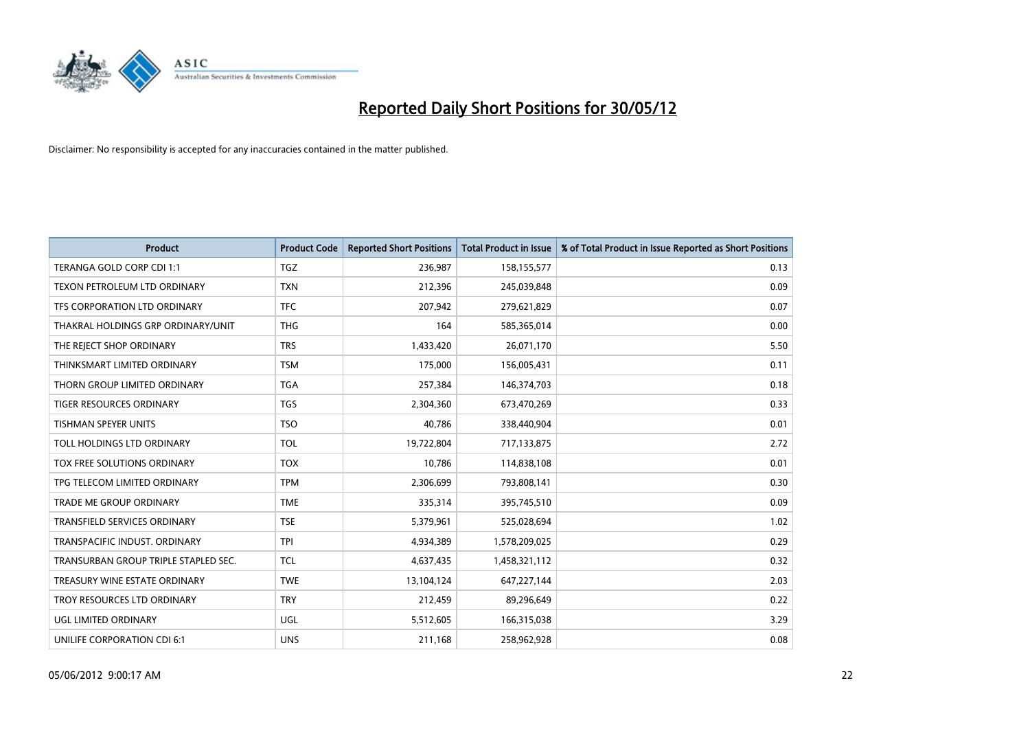

| <b>Product</b>                       | <b>Product Code</b> | <b>Reported Short Positions</b> | <b>Total Product in Issue</b> | % of Total Product in Issue Reported as Short Positions |
|--------------------------------------|---------------------|---------------------------------|-------------------------------|---------------------------------------------------------|
| TERANGA GOLD CORP CDI 1:1            | <b>TGZ</b>          | 236,987                         | 158,155,577                   | 0.13                                                    |
| TEXON PETROLEUM LTD ORDINARY         | <b>TXN</b>          | 212,396                         | 245,039,848                   | 0.09                                                    |
| TFS CORPORATION LTD ORDINARY         | <b>TFC</b>          | 207,942                         | 279,621,829                   | 0.07                                                    |
| THAKRAL HOLDINGS GRP ORDINARY/UNIT   | <b>THG</b>          | 164                             | 585,365,014                   | 0.00                                                    |
| THE REJECT SHOP ORDINARY             | <b>TRS</b>          | 1,433,420                       | 26,071,170                    | 5.50                                                    |
| THINKSMART LIMITED ORDINARY          | <b>TSM</b>          | 175,000                         | 156,005,431                   | 0.11                                                    |
| THORN GROUP LIMITED ORDINARY         | <b>TGA</b>          | 257,384                         | 146,374,703                   | 0.18                                                    |
| TIGER RESOURCES ORDINARY             | TGS                 | 2,304,360                       | 673,470,269                   | 0.33                                                    |
| <b>TISHMAN SPEYER UNITS</b>          | <b>TSO</b>          | 40.786                          | 338,440,904                   | 0.01                                                    |
| TOLL HOLDINGS LTD ORDINARY           | <b>TOL</b>          | 19,722,804                      | 717,133,875                   | 2.72                                                    |
| TOX FREE SOLUTIONS ORDINARY          | <b>TOX</b>          | 10,786                          | 114,838,108                   | 0.01                                                    |
| TPG TELECOM LIMITED ORDINARY         | <b>TPM</b>          | 2,306,699                       | 793,808,141                   | 0.30                                                    |
| TRADE ME GROUP ORDINARY              | <b>TME</b>          | 335,314                         | 395,745,510                   | 0.09                                                    |
| TRANSFIELD SERVICES ORDINARY         | <b>TSE</b>          | 5,379,961                       | 525,028,694                   | 1.02                                                    |
| TRANSPACIFIC INDUST, ORDINARY        | <b>TPI</b>          | 4,934,389                       | 1,578,209,025                 | 0.29                                                    |
| TRANSURBAN GROUP TRIPLE STAPLED SEC. | TCL                 | 4,637,435                       | 1,458,321,112                 | 0.32                                                    |
| TREASURY WINE ESTATE ORDINARY        | <b>TWE</b>          | 13,104,124                      | 647,227,144                   | 2.03                                                    |
| TROY RESOURCES LTD ORDINARY          | <b>TRY</b>          | 212,459                         | 89,296,649                    | 0.22                                                    |
| UGL LIMITED ORDINARY                 | UGL                 | 5,512,605                       | 166,315,038                   | 3.29                                                    |
| UNILIFE CORPORATION CDI 6:1          | <b>UNS</b>          | 211,168                         | 258,962,928                   | 0.08                                                    |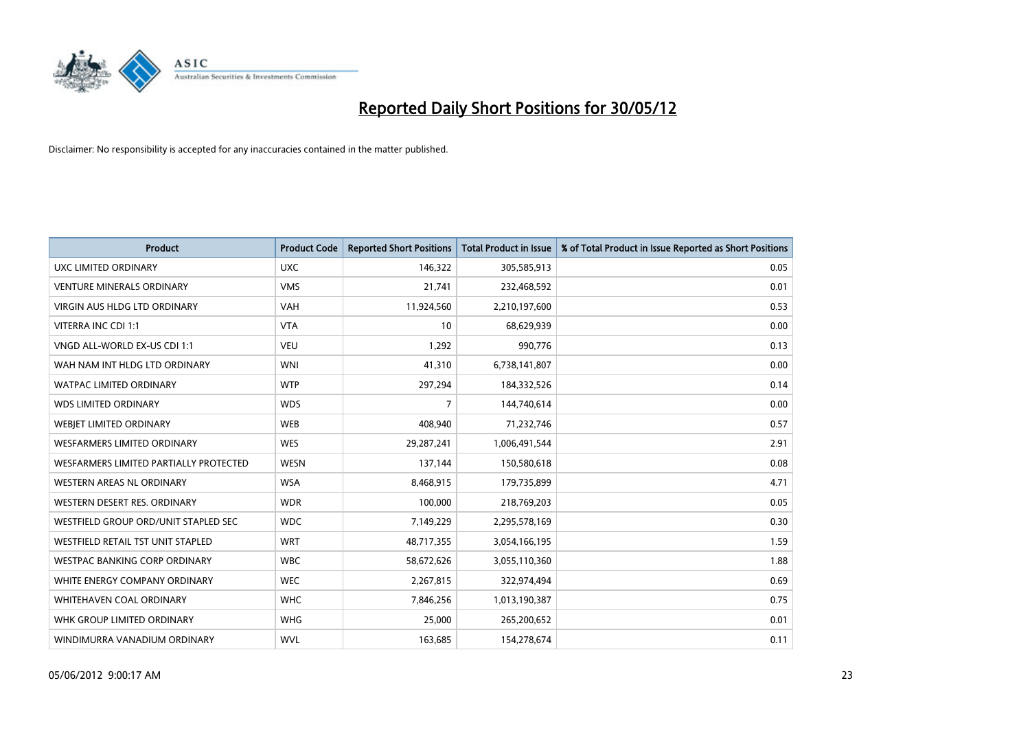

| <b>Product</b>                         | <b>Product Code</b> | <b>Reported Short Positions</b> | <b>Total Product in Issue</b> | % of Total Product in Issue Reported as Short Positions |
|----------------------------------------|---------------------|---------------------------------|-------------------------------|---------------------------------------------------------|
| UXC LIMITED ORDINARY                   | <b>UXC</b>          | 146,322                         | 305,585,913                   | 0.05                                                    |
| <b>VENTURE MINERALS ORDINARY</b>       | <b>VMS</b>          | 21,741                          | 232,468,592                   | 0.01                                                    |
| <b>VIRGIN AUS HLDG LTD ORDINARY</b>    | <b>VAH</b>          | 11,924,560                      | 2,210,197,600                 | 0.53                                                    |
| VITERRA INC CDI 1:1                    | <b>VTA</b>          | 10                              | 68,629,939                    | 0.00                                                    |
| VNGD ALL-WORLD EX-US CDI 1:1           | <b>VEU</b>          | 1,292                           | 990,776                       | 0.13                                                    |
| WAH NAM INT HLDG LTD ORDINARY          | <b>WNI</b>          | 41,310                          | 6,738,141,807                 | 0.00                                                    |
| <b>WATPAC LIMITED ORDINARY</b>         | <b>WTP</b>          | 297,294                         | 184,332,526                   | 0.14                                                    |
| <b>WDS LIMITED ORDINARY</b>            | <b>WDS</b>          | $\overline{7}$                  | 144,740,614                   | 0.00                                                    |
| WEBIET LIMITED ORDINARY                | <b>WEB</b>          | 408,940                         | 71,232,746                    | 0.57                                                    |
| WESFARMERS LIMITED ORDINARY            | <b>WES</b>          | 29,287,241                      | 1,006,491,544                 | 2.91                                                    |
| WESFARMERS LIMITED PARTIALLY PROTECTED | <b>WESN</b>         | 137,144                         | 150,580,618                   | 0.08                                                    |
| WESTERN AREAS NL ORDINARY              | <b>WSA</b>          | 8,468,915                       | 179,735,899                   | 4.71                                                    |
| WESTERN DESERT RES. ORDINARY           | <b>WDR</b>          | 100,000                         | 218,769,203                   | 0.05                                                    |
| WESTFIELD GROUP ORD/UNIT STAPLED SEC   | <b>WDC</b>          | 7,149,229                       | 2,295,578,169                 | 0.30                                                    |
| WESTFIELD RETAIL TST UNIT STAPLED      | <b>WRT</b>          | 48,717,355                      | 3,054,166,195                 | 1.59                                                    |
| <b>WESTPAC BANKING CORP ORDINARY</b>   | <b>WBC</b>          | 58,672,626                      | 3,055,110,360                 | 1.88                                                    |
| WHITE ENERGY COMPANY ORDINARY          | <b>WEC</b>          | 2,267,815                       | 322,974,494                   | 0.69                                                    |
| <b>WHITEHAVEN COAL ORDINARY</b>        | <b>WHC</b>          | 7,846,256                       | 1,013,190,387                 | 0.75                                                    |
| WHK GROUP LIMITED ORDINARY             | <b>WHG</b>          | 25,000                          | 265,200,652                   | 0.01                                                    |
| WINDIMURRA VANADIUM ORDINARY           | <b>WVL</b>          | 163,685                         | 154,278,674                   | 0.11                                                    |